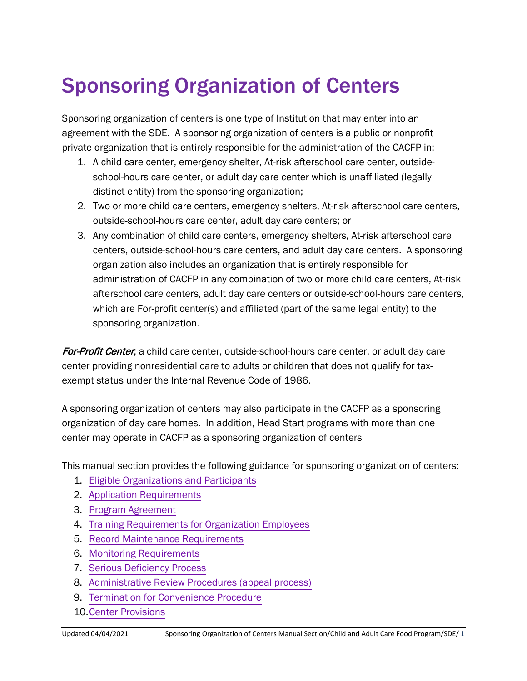# Sponsoring Organization of Centers

Sponsoring organization of centers is one type of Institution that may enter into an agreement with the SDE. A sponsoring organization of centers is a public or nonprofit private organization that is entirely responsible for the administration of the CACFP in:

- 1. A child care center, emergency shelter, At-risk afterschool care center, outsideschool-hours care center, or adult day care center which is unaffiliated (legally distinct entity) from the sponsoring organization;
- 2. Two or more child care centers, emergency shelters, At-risk afterschool care centers, outside-school-hours care center, adult day care centers; or
- 3. Any combination of child care centers, emergency shelters, At-risk afterschool care centers, outside-school-hours care centers, and adult day care centers. A sponsoring organization also includes an organization that is entirely responsible for administration of CACFP in any combination of two or more child care centers, At-risk afterschool care centers, adult day care centers or outside-school-hours care centers, which are For-profit center(s) and affiliated (part of the same legal entity) to the sponsoring organization.

For-Profit Center; a child care center, outside-school-hours care center, or adult day care center providing nonresidential care to adults or children that does not qualify for taxexempt status under the Internal Revenue Code of 1986.

A sponsoring organization of centers may also participate in the CACFP as a sponsoring organization of day care homes. In addition, Head Start programs with more than one center may operate in CACFP as a sponsoring organization of centers

This manual section provides the following guidance for sponsoring organization of centers:

- 1. Eligible Organizations [and Participants](#page-1-0)
- 2. [Application Requirements](#page-2-0)
- 3. [Program Agreement](#page-6-0)
- 4. Training [Requirements](#page-8-0) for Organization Employees
- 5. [Record Maintenance Requirements](#page-9-0)
- 6. [Monitoring Requirements](#page-12-0)
- 7. [Serious Deficiency Process](#page-19-0)
- 8. [Administrative Review Procedures \(appeal process\)](#page-27-0)
- 9. [Termination for Convenience Procedure](#page-30-0)
- 10.Center [Provisions](#page-34-0)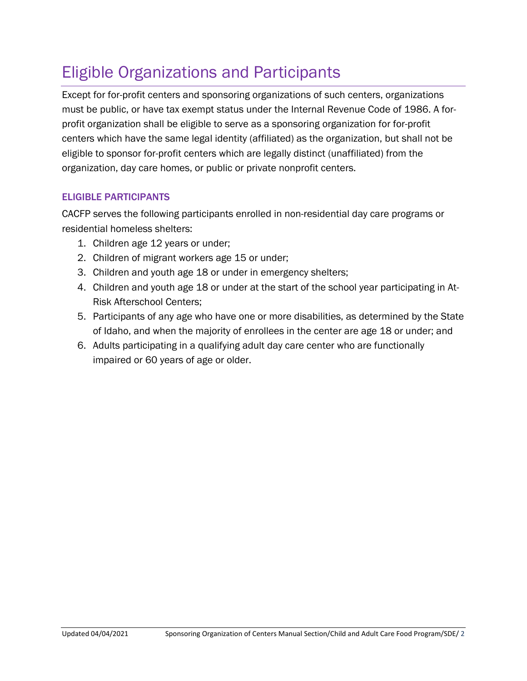## <span id="page-1-0"></span>Eligible Organizations and Participants

Except for for-profit centers and sponsoring organizations of such centers, organizations must be public, or have tax exempt status under the Internal Revenue Code of 1986. A forprofit organization shall be eligible to serve as a sponsoring organization for for-profit centers which have the same legal identity (affiliated) as the organization, but shall not be eligible to sponsor for-profit centers which are legally distinct (unaffiliated) from the organization, day care homes, or public or private nonprofit centers.

#### ELIGIBLE PARTICIPANTS

CACFP serves the following participants enrolled in non-residential day care programs or residential homeless shelters:

- 1. Children age 12 years or under;
- 2. Children of migrant workers age 15 or under;
- 3. Children and youth age 18 or under in emergency shelters;
- 4. Children and youth age 18 or under at the start of the school year participating in At-Risk Afterschool Centers;
- 5. Participants of any age who have one or more disabilities, as determined by the State of Idaho, and when the majority of enrollees in the center are age 18 or under; and
- 6. Adults participating in a qualifying adult day care center who are functionally impaired or 60 years of age or older.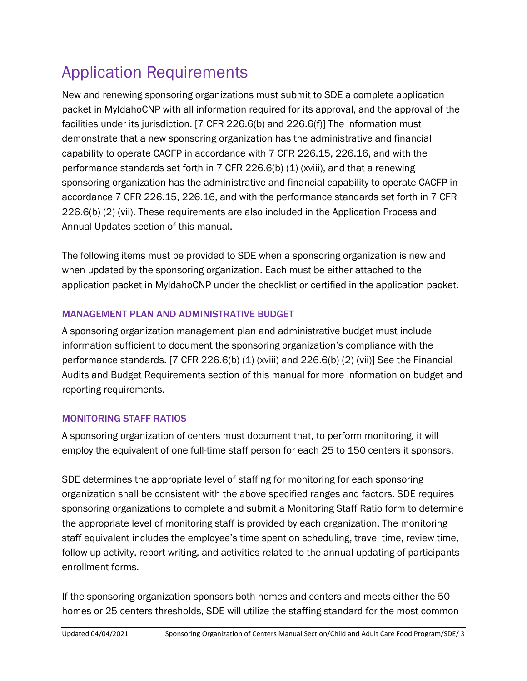## <span id="page-2-0"></span>Application Requirements

New and renewing sponsoring organizations must submit to SDE a complete application packet in MyIdahoCNP with all information required for its approval, and the approval of the facilities under its jurisdiction. [7 CFR 226.6(b) and 226.6(f)] The information must demonstrate that a new sponsoring organization has the administrative and financial capability to operate CACFP in accordance with 7 CFR 226.15, 226.16, and with the performance standards set forth in 7 CFR 226.6(b)  $(1)$  (xviii), and that a renewing sponsoring organization has the administrative and financial capability to operate CACFP in accordance 7 CFR 226.15, 226.16, and with the performance standards set forth in 7 CFR 226.6(b) (2) (vii). These requirements are also included in the Application Process and Annual Updates section of this manual.

The following items must be provided to SDE when a sponsoring organization is new and when updated by the sponsoring organization. Each must be either attached to the application packet in MyIdahoCNP under the checklist or certified in the application packet.

## MANAGEMENT PLAN AND ADMINISTRATIVE BUDGET

A sponsoring organization management plan and administrative budget must include information sufficient to document the sponsoring organization's compliance with the performance standards. [7 CFR 226.6(b) (1) (xviii) and 226.6(b) (2) (vii)] See the Financial Audits and Budget Requirements section of this manual for more information on budget and reporting requirements.

## MONITORING STAFF RATIOS

A sponsoring organization of centers must document that, to perform monitoring, it will employ the equivalent of one full-time staff person for each 25 to 150 centers it sponsors.

SDE determines the appropriate level of staffing for monitoring for each sponsoring organization shall be consistent with the above specified ranges and factors. SDE requires sponsoring organizations to complete and submit a Monitoring Staff Ratio form to determine the appropriate level of monitoring staff is provided by each organization. The monitoring staff equivalent includes the employee's time spent on scheduling, travel time, review time, follow-up activity, report writing, and activities related to the annual updating of participants enrollment forms.

If the sponsoring organization sponsors both homes and centers and meets either the 50 homes or 25 centers thresholds, SDE will utilize the staffing standard for the most common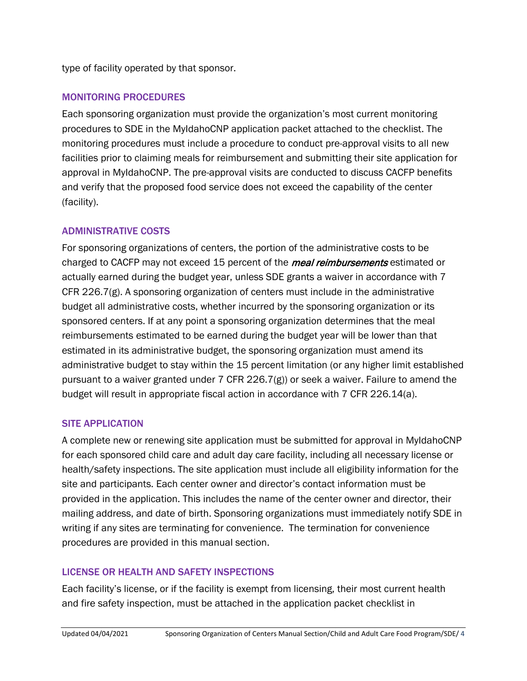type of facility operated by that sponsor.

#### MONITORING PROCEDURES

Each sponsoring organization must provide the organization's most current monitoring procedures to SDE in the MyIdahoCNP application packet attached to the checklist. The monitoring procedures must include a procedure to conduct pre-approval visits to all new facilities prior to claiming meals for reimbursement and submitting their site application for approval in MyIdahoCNP. The pre-approval visits are conducted to discuss CACFP benefits and verify that the proposed food service does not exceed the capability of the center (facility).

#### ADMINISTRATIVE COSTS

For sponsoring organizations of centers, the portion of the administrative costs to be charged to CACFP may not exceed 15 percent of the *meal reimbursements* estimated or actually earned during the budget year, unless SDE grants a waiver in accordance with 7 CFR 226.7(g). A sponsoring organization of centers must include in the administrative budget all administrative costs, whether incurred by the sponsoring organization or its sponsored centers. If at any point a sponsoring organization determines that the meal reimbursements estimated to be earned during the budget year will be lower than that estimated in its administrative budget, the sponsoring organization must amend its administrative budget to stay within the 15 percent limitation (or any higher limit established pursuant to a waiver granted under 7 CFR 226.7(g)) or seek a waiver. Failure to amend the budget will result in appropriate fiscal action in accordance with 7 CFR 226.14(a).

#### SITE APPLICATION

A complete new or renewing site application must be submitted for approval in MyIdahoCNP for each sponsored child care and adult day care facility, including all necessary license or health/safety inspections. The site application must include all eligibility information for the site and participants. Each center owner and director's contact information must be provided in the application. This includes the name of the center owner and director, their mailing address, and date of birth. Sponsoring organizations must immediately notify SDE in writing if any sites are terminating for convenience. The termination for convenience procedures are provided in this manual section.

#### LICENSE OR HEALTH AND SAFETY INSPECTIONS

Each facility's license, or if the facility is exempt from licensing, their most current health and fire safety inspection, must be attached in the application packet checklist in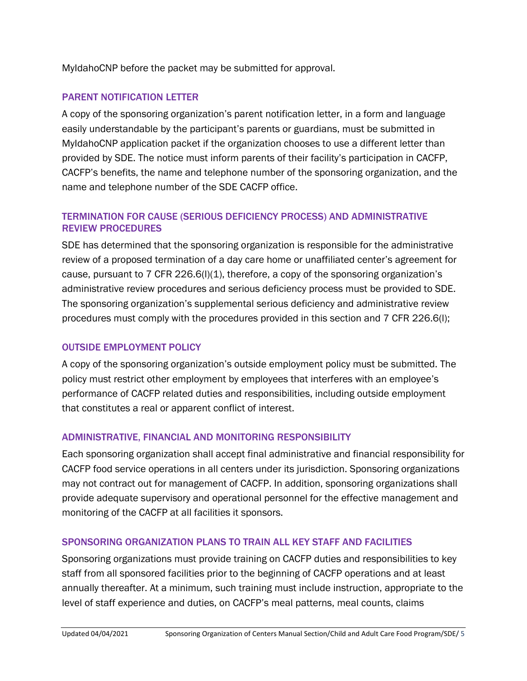MyIdahoCNP before the packet may be submitted for approval.

#### PARENT NOTIFICATION LETTER

A copy of the sponsoring organization's parent notification letter, in a form and language easily understandable by the participant's parents or guardians, must be submitted in MyIdahoCNP application packet if the organization chooses to use a different letter than provided by SDE. The notice must inform parents of their facility's participation in CACFP, CACFP's benefits, the name and telephone number of the sponsoring organization, and the name and telephone number of the SDE CACFP office.

#### TERMINATION FOR CAUSE (SERIOUS DEFICIENCY PROCESS) AND ADMINISTRATIVE REVIEW PROCEDURES

SDE has determined that the sponsoring organization is responsible for the administrative review of a proposed termination of a day care home or unaffiliated center's agreement for cause, pursuant to 7 CFR 226.6(I)(1), therefore, a copy of the sponsoring organization's administrative review procedures and serious deficiency process must be provided to SDE. The sponsoring organization's supplemental serious deficiency and administrative review procedures must comply with the procedures provided in this section and 7 CFR 226.6(l);

#### OUTSIDE EMPLOYMENT POLICY

A copy of the sponsoring organization's outside employment policy must be submitted. The policy must restrict other employment by employees that interferes with an employee's performance of CACFP related duties and responsibilities, including outside employment that constitutes a real or apparent conflict of interest.

#### ADMINISTRATIVE, FINANCIAL AND MONITORING RESPONSIBILITY

Each sponsoring organization shall accept final administrative and financial responsibility for CACFP food service operations in all centers under its jurisdiction. Sponsoring organizations may not contract out for management of CACFP. In addition, sponsoring organizations shall provide adequate supervisory and operational personnel for the effective management and monitoring of the CACFP at all facilities it sponsors.

#### SPONSORING ORGANIZATION PLANS TO TRAIN ALL KEY STAFF AND FACILITIES

Sponsoring organizations must provide training on CACFP duties and responsibilities to key staff from all sponsored facilities prior to the beginning of CACFP operations and at least annually thereafter. At a minimum, such training must include instruction, appropriate to the level of staff experience and duties, on CACFP's meal patterns, meal counts, claims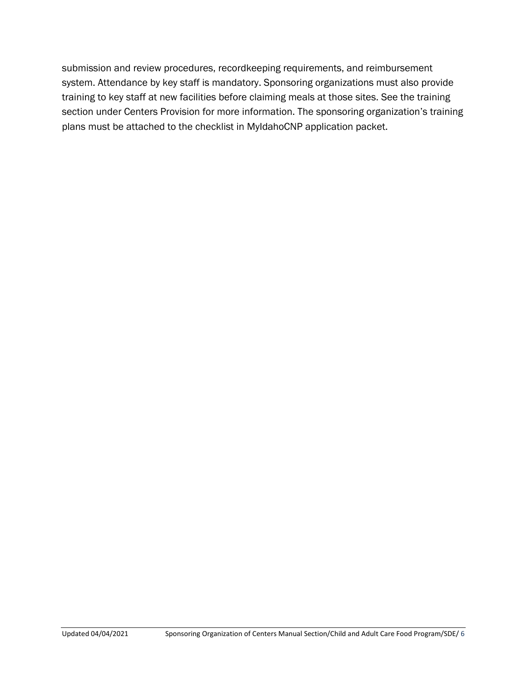submission and review procedures, recordkeeping requirements, and reimbursement system. Attendance by key staff is mandatory. Sponsoring organizations must also provide training to key staff at new facilities before claiming meals at those sites. See the training section under Centers Provision for more information. The sponsoring organization's training plans must be attached to the checklist in MyIdahoCNP application packet.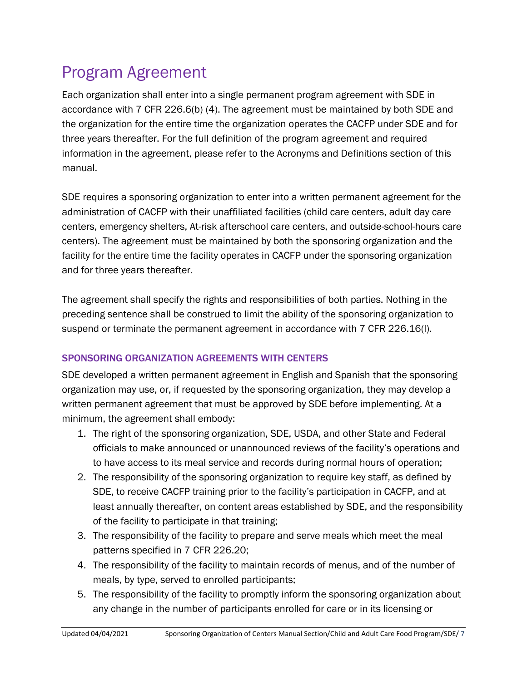## <span id="page-6-0"></span>Program Agreement

Each organization shall enter into a single permanent program agreement with SDE in accordance with 7 CFR 226.6(b) (4). The agreement must be maintained by both SDE and the organization for the entire time the organization operates the CACFP under SDE and for three years thereafter. For the full definition of the program agreement and required information in the agreement, please refer to the Acronyms and Definitions section of this manual.

SDE requires a sponsoring organization to enter into a written permanent agreement for the administration of CACFP with their unaffiliated facilities (child care centers, adult day care centers, emergency shelters, At-risk afterschool care centers, and outside-school-hours care centers). The agreement must be maintained by both the sponsoring organization and the facility for the entire time the facility operates in CACFP under the sponsoring organization and for three years thereafter.

The agreement shall specify the rights and responsibilities of both parties. Nothing in the preceding sentence shall be construed to limit the ability of the sponsoring organization to suspend or terminate the permanent agreement in accordance with 7 CFR 226.16(l).

## SPONSORING ORGANIZATION AGREEMENTS WITH CENTERS

SDE developed a written permanent agreement in English and Spanish that the sponsoring organization may use, or, if requested by the sponsoring organization, they may develop a written permanent agreement that must be approved by SDE before implementing. At a minimum, the agreement shall embody:

- 1. The right of the sponsoring organization, SDE, USDA, and other State and Federal officials to make announced or unannounced reviews of the facility's operations and to have access to its meal service and records during normal hours of operation;
- 2. The responsibility of the sponsoring organization to require key staff, as defined by SDE, to receive CACFP training prior to the facility's participation in CACFP, and at least annually thereafter, on content areas established by SDE, and the responsibility of the facility to participate in that training;
- 3. The responsibility of the facility to prepare and serve meals which meet the meal patterns specified in 7 CFR 226.20;
- 4. The responsibility of the facility to maintain records of menus, and of the number of meals, by type, served to enrolled participants;
- 5. The responsibility of the facility to promptly inform the sponsoring organization about any change in the number of participants enrolled for care or in its licensing or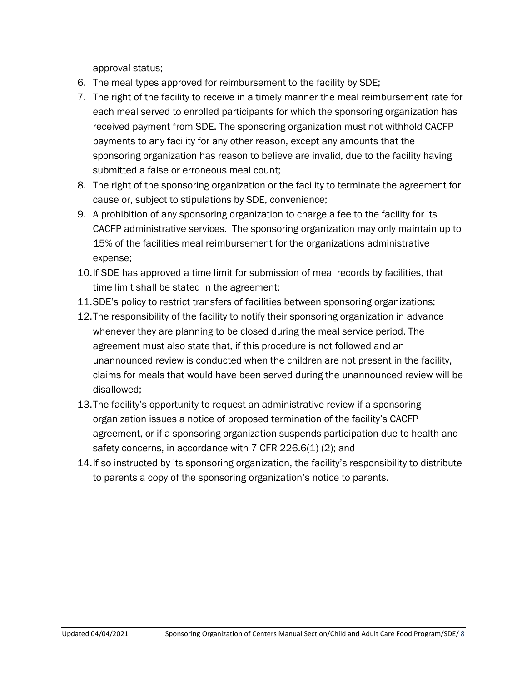approval status;

- 6. The meal types approved for reimbursement to the facility by SDE;
- 7. The right of the facility to receive in a timely manner the meal reimbursement rate for each meal served to enrolled participants for which the sponsoring organization has received payment from SDE. The sponsoring organization must not withhold CACFP payments to any facility for any other reason, except any amounts that the sponsoring organization has reason to believe are invalid, due to the facility having submitted a false or erroneous meal count;
- 8. The right of the sponsoring organization or the facility to terminate the agreement for cause or, subject to stipulations by SDE, convenience;
- 9. A prohibition of any sponsoring organization to charge a fee to the facility for its CACFP administrative services. The sponsoring organization may only maintain up to 15% of the facilities meal reimbursement for the organizations administrative expense;
- 10.If SDE has approved a time limit for submission of meal records by facilities, that time limit shall be stated in the agreement;
- 11.SDE's policy to restrict transfers of facilities between sponsoring organizations;
- 12.The responsibility of the facility to notify their sponsoring organization in advance whenever they are planning to be closed during the meal service period. The agreement must also state that, if this procedure is not followed and an unannounced review is conducted when the children are not present in the facility, claims for meals that would have been served during the unannounced review will be disallowed;
- 13.The facility's opportunity to request an administrative review if a sponsoring organization issues a notice of proposed termination of the facility's CACFP agreement, or if a sponsoring organization suspends participation due to health and safety concerns, in accordance with 7 CFR 226.6(1) (2); and
- 14.If so instructed by its sponsoring organization, the facility's responsibility to distribute to parents a copy of the sponsoring organization's notice to parents.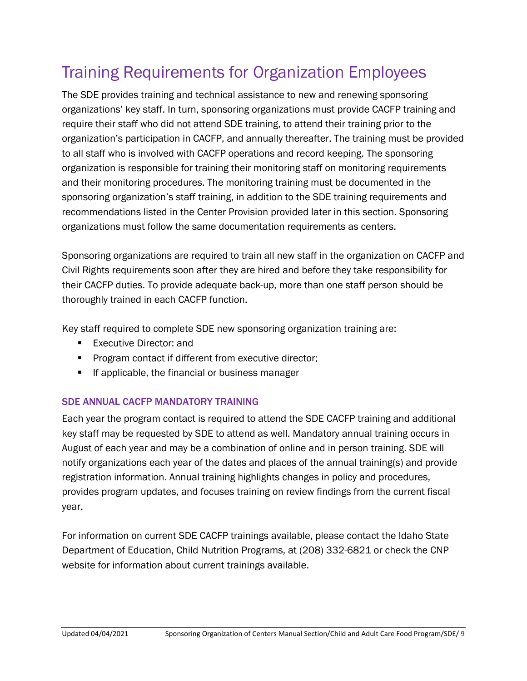## <span id="page-8-0"></span>Training Requirements for Organization Employees

The SDE provides training and technical assistance to new and renewing sponsoring organizations' key staff. In turn, sponsoring organizations must provide CACFP training and require their staff who did not attend SDE training, to attend their training prior to the organization's participation in CACFP, and annually thereafter. The training must be provided to all staff who is involved with CACFP operations and record keeping. The sponsoring organization is responsible for training their monitoring staff on monitoring requirements and their monitoring procedures. The monitoring training must be documented in the sponsoring organization's staff training, in addition to the SDE training requirements and recommendations listed in the Center Provision provided later in this section. Sponsoring organizations must follow the same documentation requirements as centers.

Sponsoring organizations are required to train all new staff in the organization on CACFP and Civil Rights requirements soon after they are hired and before they take responsibility for their CACFP duties. To provide adequate back-up, more than one staff person should be thoroughly trained in each CACFP function.

Key staff required to complete SDE new sponsoring organization training are:

- Executive Director: and
- **Program contact if different from executive director;**
- **If applicable, the financial or business manager**

#### SDE ANNUAL CACFP MANDATORY TRAINING

Each year the program contact is required to attend the SDE CACFP training and additional key staff may be requested by SDE to attend as well. Mandatory annual training occurs in August of each year and may be a combination of online and in person training. SDE will notify organizations each year of the dates and places of the annual training(s) and provide registration information. Annual training highlights changes in policy and procedures, provides program updates, and focuses training on review findings from the current fiscal year.

For information on current SDE CACFP trainings available, please contact the Idaho State Department of Education, Child Nutrition Programs, at (208) 332-6821 or check the CNP website for information about current trainings available.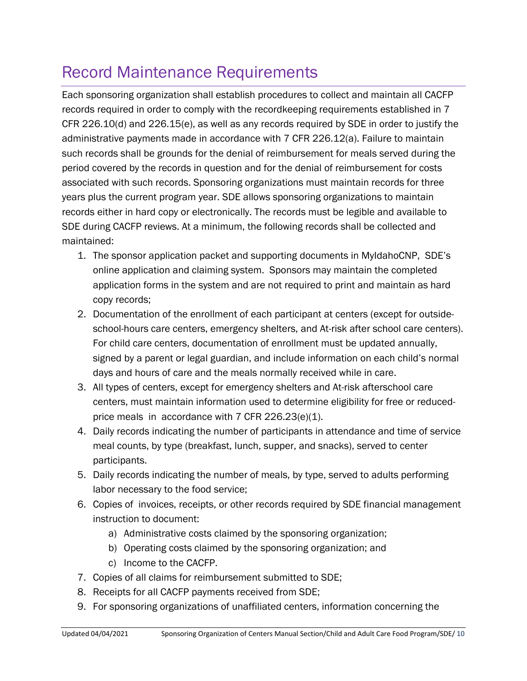## <span id="page-9-0"></span>Record Maintenance Requirements

Each sponsoring organization shall establish procedures to collect and maintain all CACFP records required in order to comply with the recordkeeping requirements established in 7 CFR 226.10(d) and 226.15(e), as well as any records required by SDE in order to justify the administrative payments made in accordance with 7 CFR 226.12(a). Failure to maintain such records shall be grounds for the denial of reimbursement for meals served during the period covered by the records in question and for the denial of reimbursement for costs associated with such records. Sponsoring organizations must maintain records for three years plus the current program year. SDE allows sponsoring organizations to maintain records either in hard copy or electronically. The records must be legible and available to SDE during CACFP reviews. At a minimum, the following records shall be collected and maintained:

- 1. The sponsor application packet and supporting documents in MyIdahoCNP, SDE's online application and claiming system. Sponsors may maintain the completed application forms in the system and are not required to print and maintain as hard copy records;
- 2. Documentation of the enrollment of each participant at centers (except for outsideschool-hours care centers, emergency shelters, and At-risk after school care centers). For child care centers, documentation of enrollment must be updated annually, signed by a parent or legal guardian, and include information on each child's normal days and hours of care and the meals normally received while in care.
- 3. All types of centers, except for emergency shelters and At-risk afterschool care centers, must maintain information used to determine eligibility for free or reducedprice meals in accordance with 7 CFR 226.23(e)(1).
- 4. Daily records indicating the number of participants in attendance and time of service meal counts, by type (breakfast, lunch, supper, and snacks), served to center participants.
- 5. Daily records indicating the number of meals, by type, served to adults performing labor necessary to the food service;
- 6. Copies of invoices, receipts, or other records required by SDE financial management instruction to document:
	- a) Administrative costs claimed by the sponsoring organization;
	- b) Operating costs claimed by the sponsoring organization; and
	- c) Income to the CACFP.
- 7. Copies of all claims for reimbursement submitted to SDE;
- 8. Receipts for all CACFP payments received from SDE;
- 9. For sponsoring organizations of unaffiliated centers, information concerning the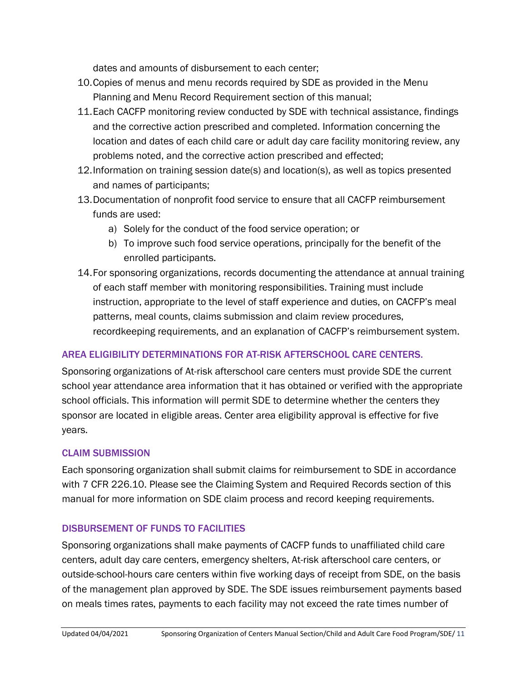dates and amounts of disbursement to each center;

- 10.Copies of menus and menu records required by SDE as provided in the Menu Planning and Menu Record Requirement section of this manual;
- 11.Each CACFP monitoring review conducted by SDE with technical assistance, findings and the corrective action prescribed and completed. Information concerning the location and dates of each child care or adult day care facility monitoring review, any problems noted, and the corrective action prescribed and effected;
- 12.Information on training session date(s) and location(s), as well as topics presented and names of participants;
- 13.Documentation of nonprofit food service to ensure that all CACFP reimbursement funds are used:
	- a) Solely for the conduct of the food service operation; or
	- b) To improve such food service operations, principally for the benefit of the enrolled participants.
- 14.For sponsoring organizations, records documenting the attendance at annual training of each staff member with monitoring responsibilities. Training must include instruction, appropriate to the level of staff experience and duties, on CACFP's meal patterns, meal counts, claims submission and claim review procedures, recordkeeping requirements, and an explanation of CACFP's reimbursement system.

## AREA ELIGIBILITY DETERMINATIONS FOR AT-RISK AFTERSCHOOL CARE CENTERS.

Sponsoring organizations of At-risk afterschool care centers must provide SDE the current school year attendance area information that it has obtained or verified with the appropriate school officials. This information will permit SDE to determine whether the centers they sponsor are located in eligible areas. Center area eligibility approval is effective for five years.

#### CLAIM SUBMISSION

Each sponsoring organization shall submit claims for reimbursement to SDE in accordance with 7 CFR 226.10. Please see the Claiming System and Required Records section of this manual for more information on SDE claim process and record keeping requirements.

## DISBURSEMENT OF FUNDS TO FACILITIES

Sponsoring organizations shall make payments of CACFP funds to unaffiliated child care centers, adult day care centers, emergency shelters, At-risk afterschool care centers, or outside-school-hours care centers within five working days of receipt from SDE, on the basis of the management plan approved by SDE. The SDE issues reimbursement payments based on meals times rates, payments to each facility may not exceed the rate times number of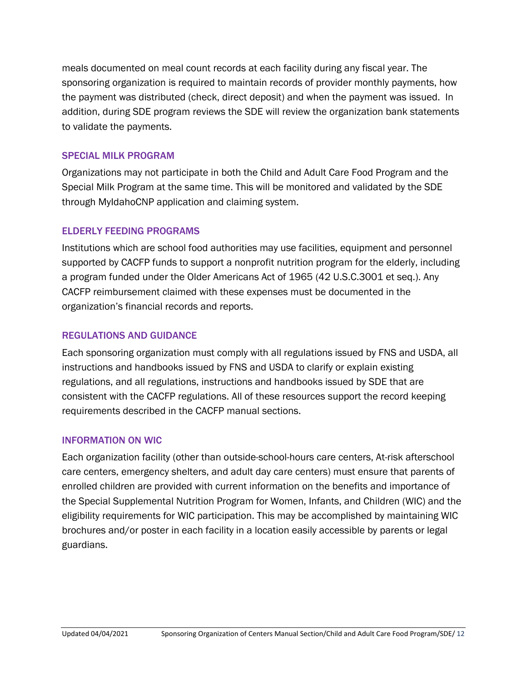meals documented on meal count records at each facility during any fiscal year. The sponsoring organization is required to maintain records of provider monthly payments, how the payment was distributed (check, direct deposit) and when the payment was issued. In addition, during SDE program reviews the SDE will review the organization bank statements to validate the payments.

#### SPECIAL MILK PROGRAM

Organizations may not participate in both the Child and Adult Care Food Program and the Special Milk Program at the same time. This will be monitored and validated by the SDE through MyIdahoCNP application and claiming system.

#### ELDERLY FEEDING PROGRAMS

Institutions which are school food authorities may use facilities, equipment and personnel supported by CACFP funds to support a nonprofit nutrition program for the elderly, including a program funded under the Older Americans Act of 1965 (42 U.S.C.3001 et seq.). Any CACFP reimbursement claimed with these expenses must be documented in the organization's financial records and reports.

#### REGULATIONS AND GUIDANCE

Each sponsoring organization must comply with all regulations issued by FNS and USDA, all instructions and handbooks issued by FNS and USDA to clarify or explain existing regulations, and all regulations, instructions and handbooks issued by SDE that are consistent with the CACFP regulations. All of these resources support the record keeping requirements described in the CACFP manual sections.

#### INFORMATION ON WIC

Each organization facility (other than outside-school-hours care centers, At-risk afterschool care centers, emergency shelters, and adult day care centers) must ensure that parents of enrolled children are provided with current information on the benefits and importance of the Special Supplemental Nutrition Program for Women, Infants, and Children (WIC) and the eligibility requirements for WIC participation. This may be accomplished by maintaining WIC brochures and/or poster in each facility in a location easily accessible by parents or legal guardians.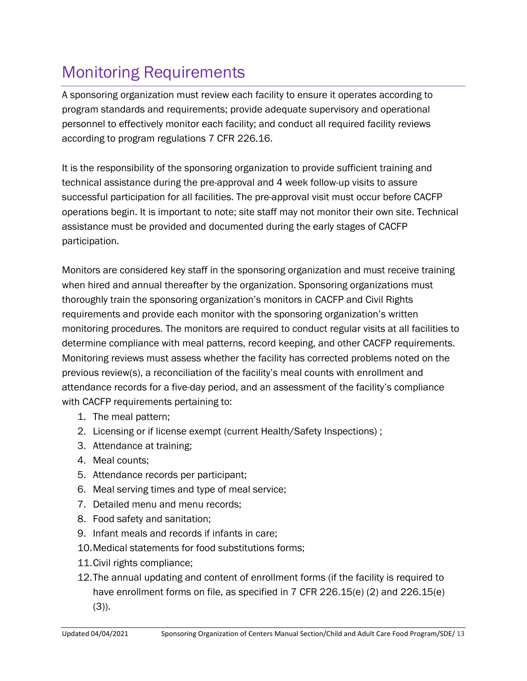## <span id="page-12-0"></span>Monitoring Requirements

A sponsoring organization must review each facility to ensure it operates according to program standards and requirements; provide adequate supervisory and operational personnel to effectively monitor each facility; and conduct all required facility reviews according to program regulations 7 CFR 226.16.

It is the responsibility of the sponsoring organization to provide sufficient training and technical assistance during the pre-approval and 4 week follow-up visits to assure successful participation for all facilities. The pre-approval visit must occur before CACFP operations begin. It is important to note; site staff may not monitor their own site. Technical assistance must be provided and documented during the early stages of CACFP participation.

Monitors are considered key staff in the sponsoring organization and must receive training when hired and annual thereafter by the organization. Sponsoring organizations must thoroughly train the sponsoring organization's monitors in CACFP and Civil Rights requirements and provide each monitor with the sponsoring organization's written monitoring procedures. The monitors are required to conduct regular visits at all facilities to determine compliance with meal patterns, record keeping, and other CACFP requirements. Monitoring reviews must assess whether the facility has corrected problems noted on the previous review(s), a reconciliation of the facility's meal counts with enrollment and attendance records for a five-day period, and an assessment of the facility's compliance with CACFP requirements pertaining to:

- 1. The meal pattern;
- 2. Licensing or if license exempt (current Health/Safety Inspections) ;
- 3. Attendance at training;
- 4. Meal counts;
- 5. Attendance records per participant;
- 6. Meal serving times and type of meal service;
- 7. Detailed menu and menu records;
- 8. Food safety and sanitation;
- 9. Infant meals and records if infants in care;
- 10.Medical statements for food substitutions forms;
- 11.Civil rights compliance;
- 12.The annual updating and content of enrollment forms (if the facility is required to have enrollment forms on file, as specified in 7 CFR 226.15(e) (2) and 226.15(e)  $(3)$ ).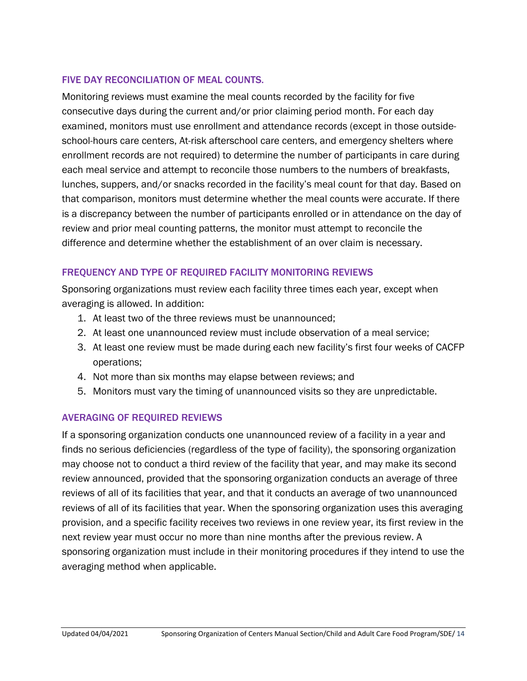#### FIVE DAY RECONCILIATION OF MEAL COUNTS.

Monitoring reviews must examine the meal counts recorded by the facility for five consecutive days during the current and/or prior claiming period month. For each day examined, monitors must use enrollment and attendance records (except in those outsideschool-hours care centers, At-risk afterschool care centers, and emergency shelters where enrollment records are not required) to determine the number of participants in care during each meal service and attempt to reconcile those numbers to the numbers of breakfasts, lunches, suppers, and/or snacks recorded in the facility's meal count for that day. Based on that comparison, monitors must determine whether the meal counts were accurate. If there is a discrepancy between the number of participants enrolled or in attendance on the day of review and prior meal counting patterns, the monitor must attempt to reconcile the difference and determine whether the establishment of an over claim is necessary.

#### FREQUENCY AND TYPE OF REQUIRED FACILITY MONITORING REVIEWS

Sponsoring organizations must review each facility three times each year, except when averaging is allowed. In addition:

- 1. At least two of the three reviews must be unannounced;
- 2. At least one unannounced review must include observation of a meal service;
- 3. At least one review must be made during each new facility's first four weeks of CACFP operations;
- 4. Not more than six months may elapse between reviews; and
- 5. Monitors must vary the timing of unannounced visits so they are unpredictable.

#### AVERAGING OF REQUIRED REVIEWS

If a sponsoring organization conducts one unannounced review of a facility in a year and finds no serious deficiencies (regardless of the type of facility), the sponsoring organization may choose not to conduct a third review of the facility that year, and may make its second review announced, provided that the sponsoring organization conducts an average of three reviews of all of its facilities that year, and that it conducts an average of two unannounced reviews of all of its facilities that year. When the sponsoring organization uses this averaging provision, and a specific facility receives two reviews in one review year, its first review in the next review year must occur no more than nine months after the previous review. A sponsoring organization must include in their monitoring procedures if they intend to use the averaging method when applicable.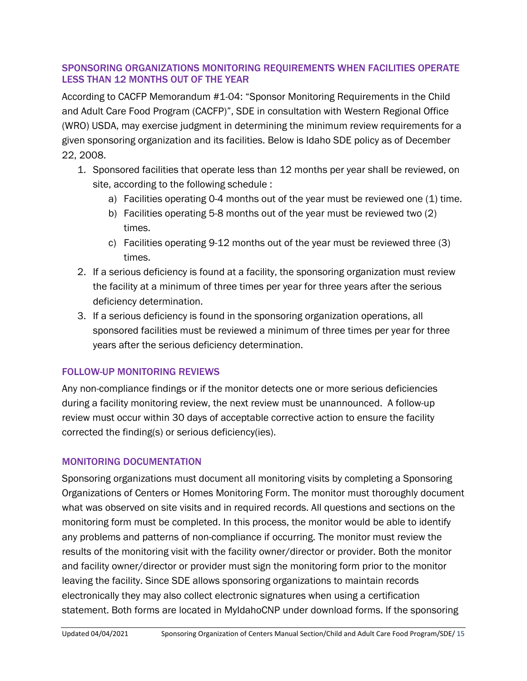#### SPONSORING ORGANIZATIONS MONITORING REQUIREMENTS WHEN FACILITIES OPERATE LESS THAN 12 MONTHS OUT OF THE YEAR

According to CACFP Memorandum #1-04: "Sponsor Monitoring Requirements in the Child and Adult Care Food Program (CACFP)", SDE in consultation with Western Regional Office (WRO) USDA, may exercise judgment in determining the minimum review requirements for a given sponsoring organization and its facilities. Below is Idaho SDE policy as of December 22, 2008.

- 1. Sponsored facilities that operate less than 12 months per year shall be reviewed, on site, according to the following schedule :
	- a) Facilities operating 0-4 months out of the year must be reviewed one (1) time.
	- b) Facilities operating 5-8 months out of the year must be reviewed two (2) times.
	- c) Facilities operating 9-12 months out of the year must be reviewed three (3) times.
- 2. If a serious deficiency is found at a facility, the sponsoring organization must review the facility at a minimum of three times per year for three years after the serious deficiency determination.
- 3. If a serious deficiency is found in the sponsoring organization operations, all sponsored facilities must be reviewed a minimum of three times per year for three years after the serious deficiency determination.

## FOLLOW-UP MONITORING REVIEWS

Any non-compliance findings or if the monitor detects one or more serious deficiencies during a facility monitoring review, the next review must be unannounced. A follow-up review must occur within 30 days of acceptable corrective action to ensure the facility corrected the finding(s) or serious deficiency(ies).

## MONITORING DOCUMENTATION

Sponsoring organizations must document all monitoring visits by completing a Sponsoring Organizations of Centers or Homes Monitoring Form. The monitor must thoroughly document what was observed on site visits and in required records. All questions and sections on the monitoring form must be completed. In this process, the monitor would be able to identify any problems and patterns of non-compliance if occurring. The monitor must review the results of the monitoring visit with the facility owner/director or provider. Both the monitor and facility owner/director or provider must sign the monitoring form prior to the monitor leaving the facility. Since SDE allows sponsoring organizations to maintain records electronically they may also collect electronic signatures when using a certification statement. Both forms are located in MyIdahoCNP under download forms. If the sponsoring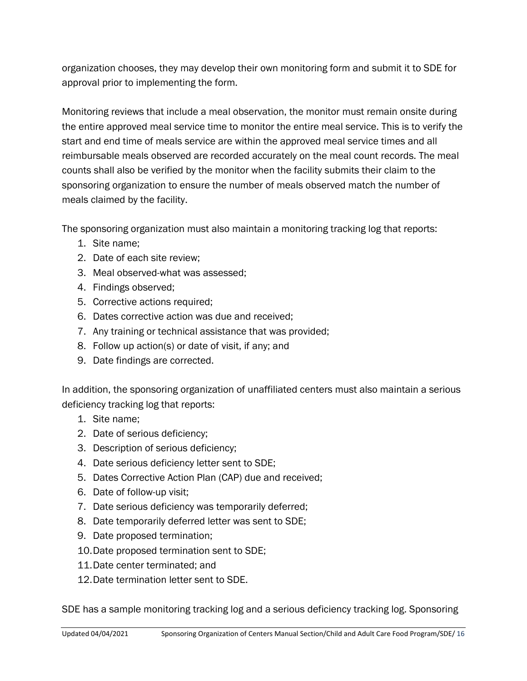organization chooses, they may develop their own monitoring form and submit it to SDE for approval prior to implementing the form.

Monitoring reviews that include a meal observation, the monitor must remain onsite during the entire approved meal service time to monitor the entire meal service. This is to verify the start and end time of meals service are within the approved meal service times and all reimbursable meals observed are recorded accurately on the meal count records. The meal counts shall also be verified by the monitor when the facility submits their claim to the sponsoring organization to ensure the number of meals observed match the number of meals claimed by the facility.

The sponsoring organization must also maintain a monitoring tracking log that reports:

- 1. Site name;
- 2. Date of each site review;
- 3. Meal observed-what was assessed;
- 4. Findings observed;
- 5. Corrective actions required;
- 6. Dates corrective action was due and received;
- 7. Any training or technical assistance that was provided;
- 8. Follow up action(s) or date of visit, if any; and
- 9. Date findings are corrected.

In addition, the sponsoring organization of unaffiliated centers must also maintain a serious deficiency tracking log that reports:

- 1. Site name;
- 2. Date of serious deficiency;
- 3. Description of serious deficiency;
- 4. Date serious deficiency letter sent to SDE;
- 5. Dates Corrective Action Plan (CAP) due and received;
- 6. Date of follow-up visit;
- 7. Date serious deficiency was temporarily deferred;
- 8. Date temporarily deferred letter was sent to SDE;
- 9. Date proposed termination;
- 10.Date proposed termination sent to SDE;
- 11.Date center terminated; and
- 12.Date termination letter sent to SDE.

SDE has a sample monitoring tracking log and a serious deficiency tracking log. Sponsoring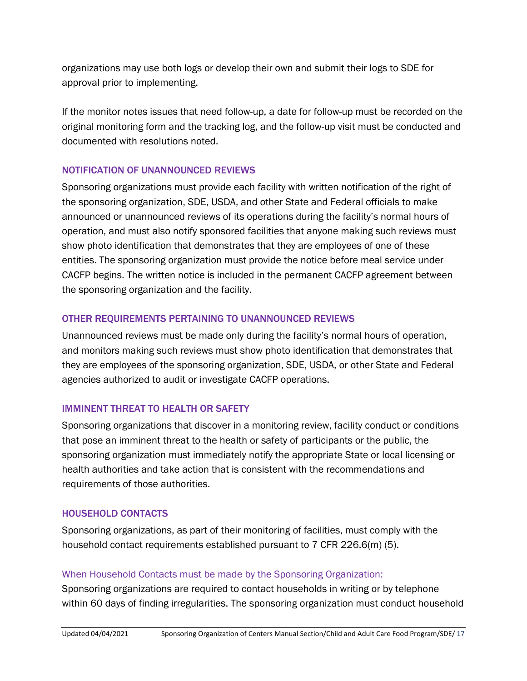organizations may use both logs or develop their own and submit their logs to SDE for approval prior to implementing.

If the monitor notes issues that need follow-up, a date for follow-up must be recorded on the original monitoring form and the tracking log, and the follow-up visit must be conducted and documented with resolutions noted.

#### NOTIFICATION OF UNANNOUNCED REVIEWS

Sponsoring organizations must provide each facility with written notification of the right of the sponsoring organization, SDE, USDA, and other State and Federal officials to make announced or unannounced reviews of its operations during the facility's normal hours of operation, and must also notify sponsored facilities that anyone making such reviews must show photo identification that demonstrates that they are employees of one of these entities. The sponsoring organization must provide the notice before meal service under CACFP begins. The written notice is included in the permanent CACFP agreement between the sponsoring organization and the facility.

#### OTHER REQUIREMENTS PERTAINING TO UNANNOUNCED REVIEWS

Unannounced reviews must be made only during the facility's normal hours of operation, and monitors making such reviews must show photo identification that demonstrates that they are employees of the sponsoring organization, SDE, USDA, or other State and Federal agencies authorized to audit or investigate CACFP operations.

#### IMMINENT THREAT TO HEALTH OR SAFETY

Sponsoring organizations that discover in a monitoring review, facility conduct or conditions that pose an imminent threat to the health or safety of participants or the public, the sponsoring organization must immediately notify the appropriate State or local licensing or health authorities and take action that is consistent with the recommendations and requirements of those authorities.

## HOUSEHOLD CONTACTS

Sponsoring organizations, as part of their monitoring of facilities, must comply with the household contact requirements established pursuant to 7 CFR 226.6(m) (5).

## When Household Contacts must be made by the Sponsoring Organization:

Sponsoring organizations are required to contact households in writing or by telephone within 60 days of finding irregularities. The sponsoring organization must conduct household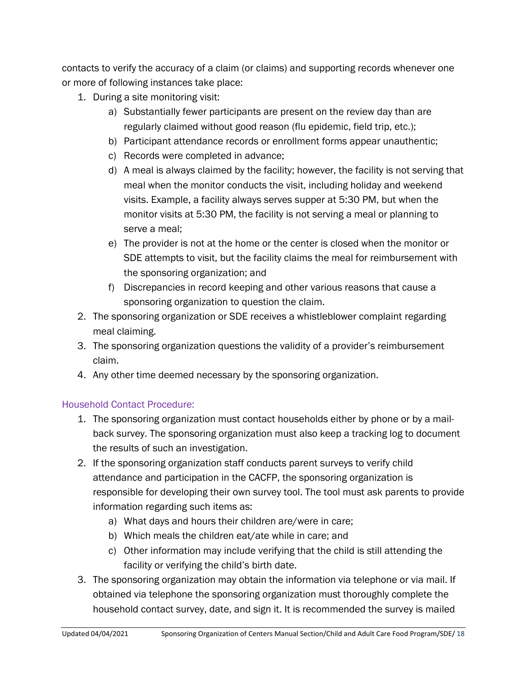contacts to verify the accuracy of a claim (or claims) and supporting records whenever one or more of following instances take place:

- 1. During a site monitoring visit:
	- a) Substantially fewer participants are present on the review day than are regularly claimed without good reason (flu epidemic, field trip, etc.);
	- b) Participant attendance records or enrollment forms appear unauthentic;
	- c) Records were completed in advance;
	- d) A meal is always claimed by the facility; however, the facility is not serving that meal when the monitor conducts the visit, including holiday and weekend visits. Example, a facility always serves supper at 5:30 PM, but when the monitor visits at 5:30 PM, the facility is not serving a meal or planning to serve a meal;
	- e) The provider is not at the home or the center is closed when the monitor or SDE attempts to visit, but the facility claims the meal for reimbursement with the sponsoring organization; and
	- f) Discrepancies in record keeping and other various reasons that cause a sponsoring organization to question the claim.
- 2. The sponsoring organization or SDE receives a whistleblower complaint regarding meal claiming.
- 3. The sponsoring organization questions the validity of a provider's reimbursement claim.
- 4. Any other time deemed necessary by the sponsoring organization.

## Household Contact Procedure:

- 1. The sponsoring organization must contact households either by phone or by a mailback survey. The sponsoring organization must also keep a tracking log to document the results of such an investigation.
- 2. If the sponsoring organization staff conducts parent surveys to verify child attendance and participation in the CACFP, the sponsoring organization is responsible for developing their own survey tool. The tool must ask parents to provide information regarding such items as:
	- a) What days and hours their children are/were in care;
	- b) Which meals the children eat/ate while in care; and
	- c) Other information may include verifying that the child is still attending the facility or verifying the child's birth date.
- 3. The sponsoring organization may obtain the information via telephone or via mail. If obtained via telephone the sponsoring organization must thoroughly complete the household contact survey, date, and sign it. It is recommended the survey is mailed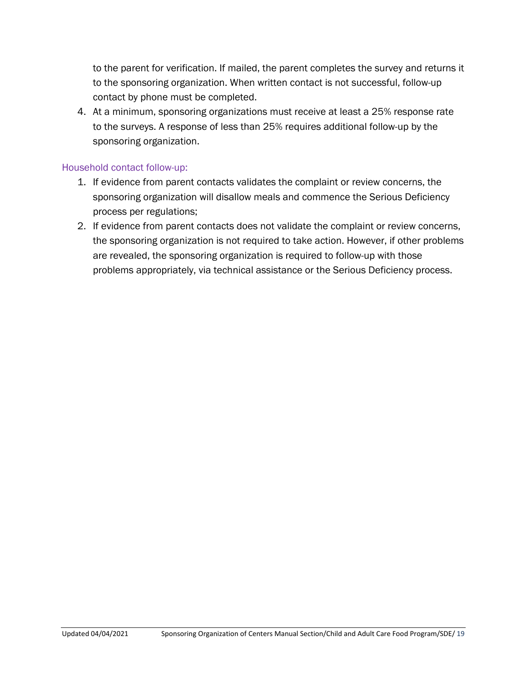to the parent for verification. If mailed, the parent completes the survey and returns it to the sponsoring organization. When written contact is not successful, follow-up contact by phone must be completed.

4. At a minimum, sponsoring organizations must receive at least a 25% response rate to the surveys. A response of less than 25% requires additional follow-up by the sponsoring organization.

#### Household contact follow-up:

- 1. If evidence from parent contacts validates the complaint or review concerns, the sponsoring organization will disallow meals and commence the Serious Deficiency process per regulations;
- 2. If evidence from parent contacts does not validate the complaint or review concerns, the sponsoring organization is not required to take action. However, if other problems are revealed, the sponsoring organization is required to follow-up with those problems appropriately, via technical assistance or the Serious Deficiency process.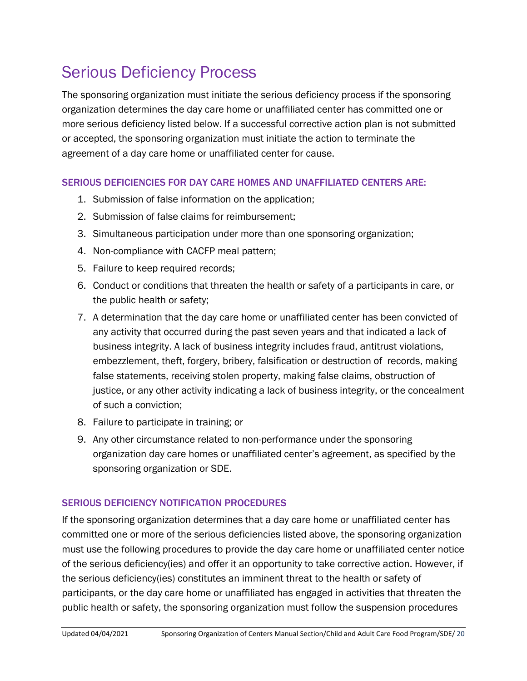## <span id="page-19-0"></span>Serious Deficiency Process

The sponsoring organization must initiate the serious deficiency process if the sponsoring organization determines the day care home or unaffiliated center has committed one or more serious deficiency listed below. If a successful corrective action plan is not submitted or accepted, the sponsoring organization must initiate the action to terminate the agreement of a day care home or unaffiliated center for cause.

#### SERIOUS DEFICIENCIES FOR DAY CARE HOMES AND UNAFFILIATED CENTERS ARE:

- 1. Submission of false information on the application;
- 2. Submission of false claims for reimbursement;
- 3. Simultaneous participation under more than one sponsoring organization;
- 4. Non-compliance with CACFP meal pattern;
- 5. Failure to keep required records;
- 6. Conduct or conditions that threaten the health or safety of a participants in care, or the public health or safety;
- 7. A determination that the day care home or unaffiliated center has been convicted of any activity that occurred during the past seven years and that indicated a lack of business integrity. A lack of business integrity includes fraud, antitrust violations, embezzlement, theft, forgery, bribery, falsification or destruction of records, making false statements, receiving stolen property, making false claims, obstruction of justice, or any other activity indicating a lack of business integrity, or the concealment of such a conviction;
- 8. Failure to participate in training; or
- 9. Any other circumstance related to non-performance under the sponsoring organization day care homes or unaffiliated center's agreement, as specified by the sponsoring organization or SDE.

#### SERIOUS DEFICIENCY NOTIFICATION PROCEDURES

If the sponsoring organization determines that a day care home or unaffiliated center has committed one or more of the serious deficiencies listed above, the sponsoring organization must use the following procedures to provide the day care home or unaffiliated center notice of the serious deficiency(ies) and offer it an opportunity to take corrective action. However, if the serious deficiency(ies) constitutes an imminent threat to the health or safety of participants, or the day care home or unaffiliated has engaged in activities that threaten the public health or safety, the sponsoring organization must follow the suspension procedures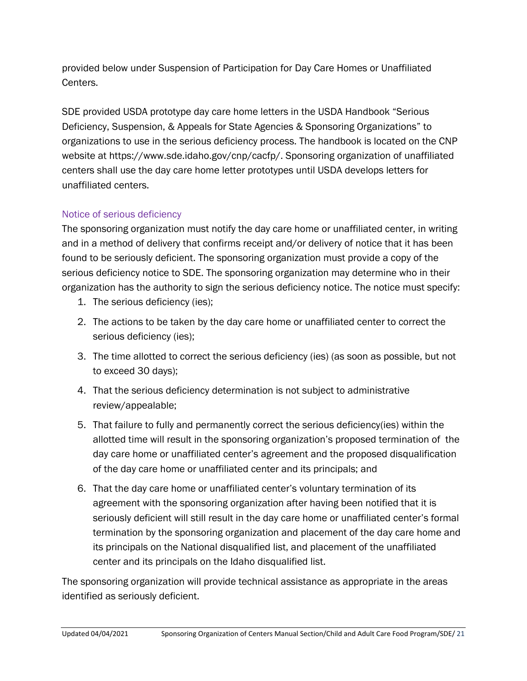provided below under Suspension of Participation for Day Care Homes or Unaffiliated Centers.

SDE provided USDA prototype day care home letters in the USDA Handbook "Serious Deficiency, Suspension, & Appeals for State Agencies & Sponsoring Organizations" to organizations to use in the serious deficiency process. The handbook is located on the CNP website at [https://www.sde.idaho.gov/cnp/cacfp/.](https://www.sde.idaho.gov/cnp/cacfp/) Sponsoring organization of unaffiliated centers shall use the day care home letter prototypes until USDA develops letters for unaffiliated centers.

#### Notice of serious deficiency

The sponsoring organization must notify the day care home or unaffiliated center, in writing and in a method of delivery that confirms receipt and/or delivery of notice that it has been found to be seriously deficient. The sponsoring organization must provide a copy of the serious deficiency notice to SDE. The sponsoring organization may determine who in their organization has the authority to sign the serious deficiency notice. The notice must specify:

- 1. The serious deficiency (ies);
- 2. The actions to be taken by the day care home or unaffiliated center to correct the serious deficiency (ies);
- 3. The time allotted to correct the serious deficiency (ies) (as soon as possible, but not to exceed 30 days);
- 4. That the serious deficiency determination is not subject to administrative review/appealable;
- 5. That failure to fully and permanently correct the serious deficiency(ies) within the allotted time will result in the sponsoring organization's proposed termination of the day care home or unaffiliated center's agreement and the proposed disqualification of the day care home or unaffiliated center and its principals; and
- 6. That the day care home or unaffiliated center's voluntary termination of its agreement with the sponsoring organization after having been notified that it is seriously deficient will still result in the day care home or unaffiliated center's formal termination by the sponsoring organization and placement of the day care home and its principals on the National disqualified list, and placement of the unaffiliated center and its principals on the Idaho disqualified list.

The sponsoring organization will provide technical assistance as appropriate in the areas identified as seriously deficient.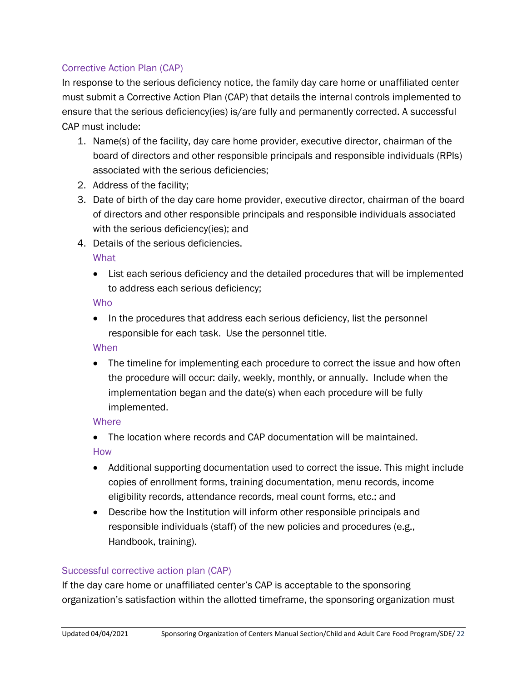#### Corrective Action Plan (CAP)

In response to the serious deficiency notice, the family day care home or unaffiliated center must submit a Corrective Action Plan (CAP) that details the internal controls implemented to ensure that the serious deficiency(ies) is/are fully and permanently corrected. A successful CAP must include:

- 1. Name(s) of the facility, day care home provider, executive director, chairman of the board of directors and other responsible principals and responsible individuals (RPIs) associated with the serious deficiencies;
- 2. Address of the facility;
- 3. Date of birth of the day care home provider, executive director, chairman of the board of directors and other responsible principals and responsible individuals associated with the serious deficiency(ies); and
- 4. Details of the serious deficiencies.

**What** 

• List each serious deficiency and the detailed procedures that will be implemented to address each serious deficiency;

Who

• In the procedures that address each serious deficiency, list the personnel responsible for each task. Use the personnel title.

#### When

• The timeline for implementing each procedure to correct the issue and how often the procedure will occur: daily, weekly, monthly, or annually. Include when the implementation began and the date(s) when each procedure will be fully implemented.

#### **Where**

• The location where records and CAP documentation will be maintained. How

- Additional supporting documentation used to correct the issue. This might include copies of enrollment forms, training documentation, menu records, income eligibility records, attendance records, meal count forms, etc.; and
- Describe how the Institution will inform other responsible principals and responsible individuals (staff) of the new policies and procedures (e.g., Handbook, training).

#### Successful corrective action plan (CAP)

If the day care home or unaffiliated center's CAP is acceptable to the sponsoring organization's satisfaction within the allotted timeframe, the sponsoring organization must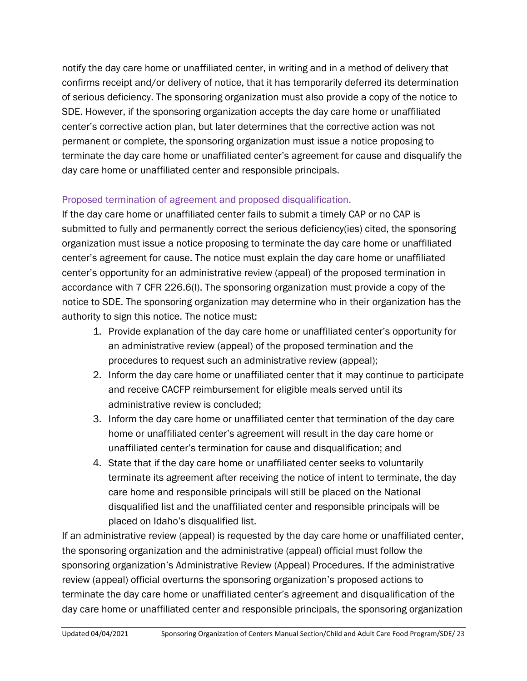notify the day care home or unaffiliated center, in writing and in a method of delivery that confirms receipt and/or delivery of notice, that it has temporarily deferred its determination of serious deficiency. The sponsoring organization must also provide a copy of the notice to SDE. However, if the sponsoring organization accepts the day care home or unaffiliated center's corrective action plan, but later determines that the corrective action was not permanent or complete, the sponsoring organization must issue a notice proposing to terminate the day care home or unaffiliated center's agreement for cause and disqualify the day care home or unaffiliated center and responsible principals.

#### Proposed termination of agreement and proposed disqualification.

If the day care home or unaffiliated center fails to submit a timely CAP or no CAP is submitted to fully and permanently correct the serious deficiency(ies) cited, the sponsoring organization must issue a notice proposing to terminate the day care home or unaffiliated center's agreement for cause. The notice must explain the day care home or unaffiliated center's opportunity for an administrative review (appeal) of the proposed termination in accordance with 7 CFR 226.6(l). The sponsoring organization must provide a copy of the notice to SDE. The sponsoring organization may determine who in their organization has the authority to sign this notice. The notice must:

- 1. Provide explanation of the day care home or unaffiliated center's opportunity for an administrative review (appeal) of the proposed termination and the procedures to request such an administrative review (appeal);
- 2. Inform the day care home or unaffiliated center that it may continue to participate and receive CACFP reimbursement for eligible meals served until its administrative review is concluded;
- 3. Inform the day care home or unaffiliated center that termination of the day care home or unaffiliated center's agreement will result in the day care home or unaffiliated center's termination for cause and disqualification; and
- 4. State that if the day care home or unaffiliated center seeks to voluntarily terminate its agreement after receiving the notice of intent to terminate, the day care home and responsible principals will still be placed on the National disqualified list and the unaffiliated center and responsible principals will be placed on Idaho's disqualified list.

If an administrative review (appeal) is requested by the day care home or unaffiliated center, the sponsoring organization and the administrative (appeal) official must follow the sponsoring organization's Administrative Review (Appeal) Procedures. If the administrative review (appeal) official overturns the sponsoring organization's proposed actions to terminate the day care home or unaffiliated center's agreement and disqualification of the day care home or unaffiliated center and responsible principals, the sponsoring organization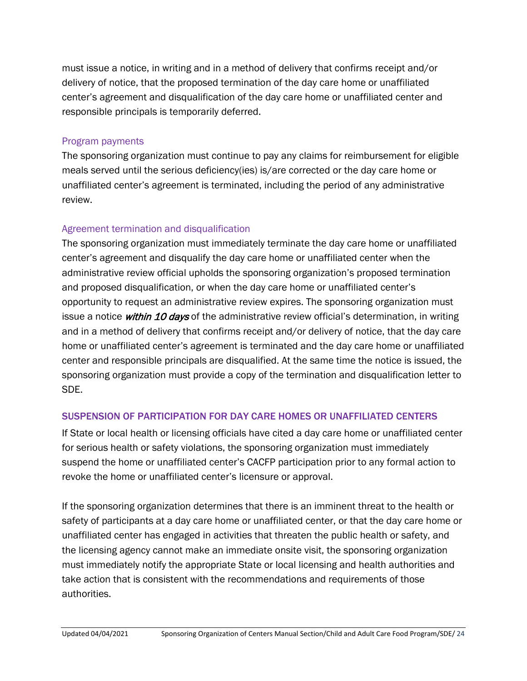must issue a notice, in writing and in a method of delivery that confirms receipt and/or delivery of notice, that the proposed termination of the day care home or unaffiliated center's agreement and disqualification of the day care home or unaffiliated center and responsible principals is temporarily deferred.

#### Program payments

The sponsoring organization must continue to pay any claims for reimbursement for eligible meals served until the serious deficiency(ies) is/are corrected or the day care home or unaffiliated center's agreement is terminated, including the period of any administrative review.

#### Agreement termination and disqualification

The sponsoring organization must immediately terminate the day care home or unaffiliated center's agreement and disqualify the day care home or unaffiliated center when the administrative review official upholds the sponsoring organization's proposed termination and proposed disqualification, or when the day care home or unaffiliated center's opportunity to request an administrative review expires. The sponsoring organization must issue a notice within 10 days of the administrative review official's determination, in writing and in a method of delivery that confirms receipt and/or delivery of notice, that the day care home or unaffiliated center's agreement is terminated and the day care home or unaffiliated center and responsible principals are disqualified. At the same time the notice is issued, the sponsoring organization must provide a copy of the termination and disqualification letter to SDE.

#### SUSPENSION OF PARTICIPATION FOR DAY CARE HOMES OR UNAFFILIATED CENTERS

If State or local health or licensing officials have cited a day care home or unaffiliated center for serious health or safety violations, the sponsoring organization must immediately suspend the home or unaffiliated center's CACFP participation prior to any formal action to revoke the home or unaffiliated center's licensure or approval.

If the sponsoring organization determines that there is an imminent threat to the health or safety of participants at a day care home or unaffiliated center, or that the day care home or unaffiliated center has engaged in activities that threaten the public health or safety, and the licensing agency cannot make an immediate onsite visit, the sponsoring organization must immediately notify the appropriate State or local licensing and health authorities and take action that is consistent with the recommendations and requirements of those authorities.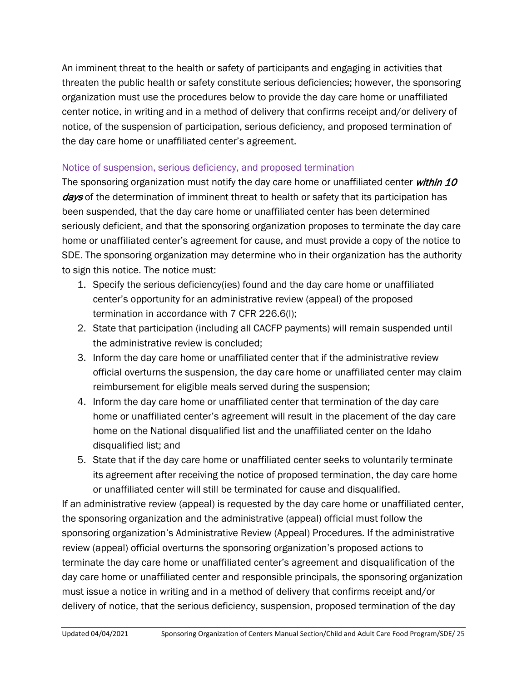An imminent threat to the health or safety of participants and engaging in activities that threaten the public health or safety constitute serious deficiencies; however, the sponsoring organization must use the procedures below to provide the day care home or unaffiliated center notice, in writing and in a method of delivery that confirms receipt and/or delivery of notice, of the suspension of participation, serious deficiency, and proposed termination of the day care home or unaffiliated center's agreement.

#### Notice of suspension, serious deficiency, and proposed termination

The sponsoring organization must notify the day care home or unaffiliated center within 10 *days* of the determination of imminent threat to health or safety that its participation has been suspended, that the day care home or unaffiliated center has been determined seriously deficient, and that the sponsoring organization proposes to terminate the day care home or unaffiliated center's agreement for cause, and must provide a copy of the notice to SDE. The sponsoring organization may determine who in their organization has the authority to sign this notice. The notice must:

- 1. Specify the serious deficiency(ies) found and the day care home or unaffiliated center's opportunity for an administrative review (appeal) of the proposed termination in accordance with 7 CFR 226.6(l);
- 2. State that participation (including all CACFP payments) will remain suspended until the administrative review is concluded;
- 3. Inform the day care home or unaffiliated center that if the administrative review official overturns the suspension, the day care home or unaffiliated center may claim reimbursement for eligible meals served during the suspension;
- 4. Inform the day care home or unaffiliated center that termination of the day care home or unaffiliated center's agreement will result in the placement of the day care home on the National disqualified list and the unaffiliated center on the Idaho disqualified list; and
- 5. State that if the day care home or unaffiliated center seeks to voluntarily terminate its agreement after receiving the notice of proposed termination, the day care home or unaffiliated center will still be terminated for cause and disqualified.

If an administrative review (appeal) is requested by the day care home or unaffiliated center, the sponsoring organization and the administrative (appeal) official must follow the sponsoring organization's Administrative Review (Appeal) Procedures. If the administrative review (appeal) official overturns the sponsoring organization's proposed actions to terminate the day care home or unaffiliated center's agreement and disqualification of the day care home or unaffiliated center and responsible principals, the sponsoring organization must issue a notice in writing and in a method of delivery that confirms receipt and/or delivery of notice, that the serious deficiency, suspension, proposed termination of the day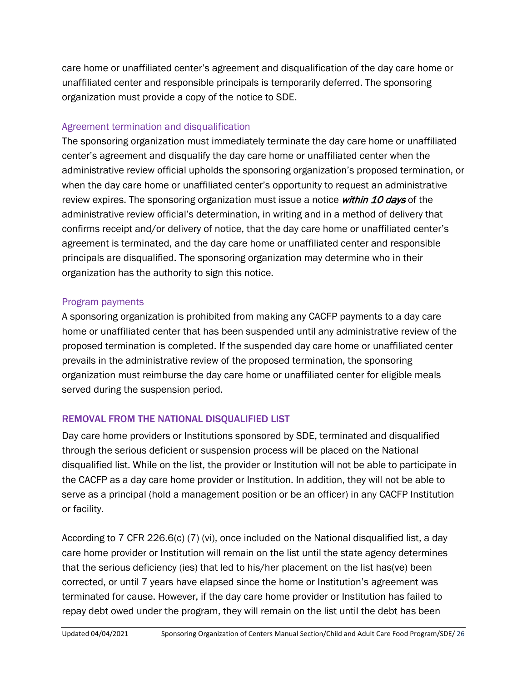care home or unaffiliated center's agreement and disqualification of the day care home or unaffiliated center and responsible principals is temporarily deferred. The sponsoring organization must provide a copy of the notice to SDE.

#### Agreement termination and disqualification

The sponsoring organization must immediately terminate the day care home or unaffiliated center's agreement and disqualify the day care home or unaffiliated center when the administrative review official upholds the sponsoring organization's proposed termination, or when the day care home or unaffiliated center's opportunity to request an administrative review expires. The sponsoring organization must issue a notice *within 10 days* of the administrative review official's determination, in writing and in a method of delivery that confirms receipt and/or delivery of notice, that the day care home or unaffiliated center's agreement is terminated, and the day care home or unaffiliated center and responsible principals are disqualified. The sponsoring organization may determine who in their organization has the authority to sign this notice.

#### Program payments

A sponsoring organization is prohibited from making any CACFP payments to a day care home or unaffiliated center that has been suspended until any administrative review of the proposed termination is completed. If the suspended day care home or unaffiliated center prevails in the administrative review of the proposed termination, the sponsoring organization must reimburse the day care home or unaffiliated center for eligible meals served during the suspension period.

## REMOVAL FROM THE NATIONAL DISQUALIFIED LIST

Day care home providers or Institutions sponsored by SDE, terminated and disqualified through the serious deficient or suspension process will be placed on the National disqualified list. While on the list, the provider or Institution will not be able to participate in the CACFP as a day care home provider or Institution. In addition, they will not be able to serve as a principal (hold a management position or be an officer) in any CACFP Institution or facility.

According to 7 CFR 226.6(c) (7) (vi), once included on the National disqualified list, a day care home provider or Institution will remain on the list until the state agency determines that the serious deficiency (ies) that led to his/her placement on the list has(ve) been corrected, or until 7 years have elapsed since the home or Institution's agreement was terminated for cause. However, if the day care home provider or Institution has failed to repay debt owed under the program, they will remain on the list until the debt has been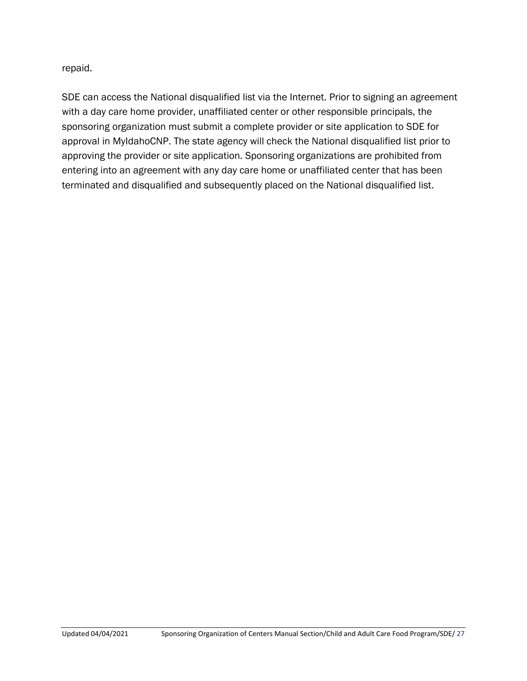repaid.

SDE can access the National disqualified list via the Internet. Prior to signing an agreement with a day care home provider, unaffiliated center or other responsible principals, the sponsoring organization must submit a complete provider or site application to SDE for approval in MyIdahoCNP. The state agency will check the National disqualified list prior to approving the provider or site application. Sponsoring organizations are prohibited from entering into an agreement with any day care home or unaffiliated center that has been terminated and disqualified and subsequently placed on the National disqualified list.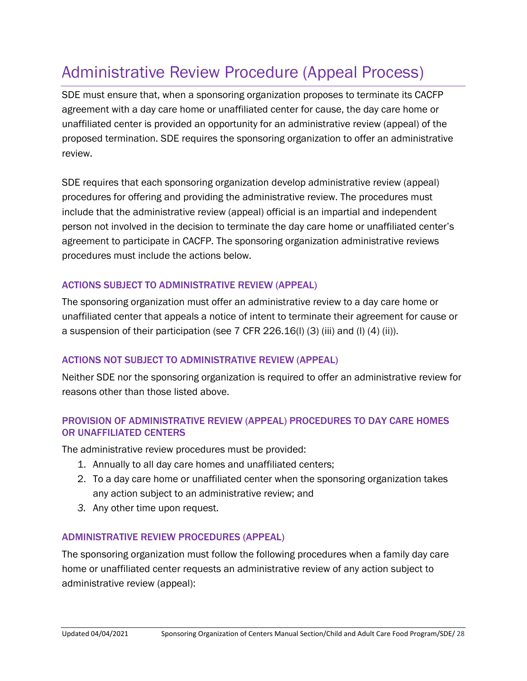## <span id="page-27-0"></span>Administrative Review Procedure (Appeal Process)

SDE must ensure that, when a sponsoring organization proposes to terminate its CACFP agreement with a day care home or unaffiliated center for cause, the day care home or unaffiliated center is provided an opportunity for an administrative review (appeal) of the proposed termination. SDE requires the sponsoring organization to offer an administrative review.

SDE requires that each sponsoring organization develop administrative review (appeal) procedures for offering and providing the administrative review. The procedures must include that the administrative review (appeal) official is an impartial and independent person not involved in the decision to terminate the day care home or unaffiliated center's agreement to participate in CACFP. The sponsoring organization administrative reviews procedures must include the actions below.

#### ACTIONS SUBJECT TO ADMINISTRATIVE REVIEW (APPEAL)

The sponsoring organization must offer an administrative review to a day care home or unaffiliated center that appeals a notice of intent to terminate their agreement for cause or a suspension of their participation (see 7 CFR 226.16(l) (3) (iii) and (l) (4) (ii)).

#### ACTIONS NOT SUBJECT TO ADMINISTRATIVE REVIEW (APPEAL)

Neither SDE nor the sponsoring organization is required to offer an administrative review for reasons other than those listed above.

#### PROVISION OF ADMINISTRATIVE REVIEW (APPEAL) PROCEDURES TO DAY CARE HOMES OR UNAFFILIATED CENTERS

The administrative review procedures must be provided:

- 1. Annually to all day care homes and unaffiliated centers;
- 2. To a day care home or unaffiliated center when the sponsoring organization takes any action subject to an administrative review; and
- *3.* Any other time upon request.

#### ADMINISTRATIVE REVIEW PROCEDURES (APPEAL)

The sponsoring organization must follow the following procedures when a family day care home or unaffiliated center requests an administrative review of any action subject to administrative review (appeal):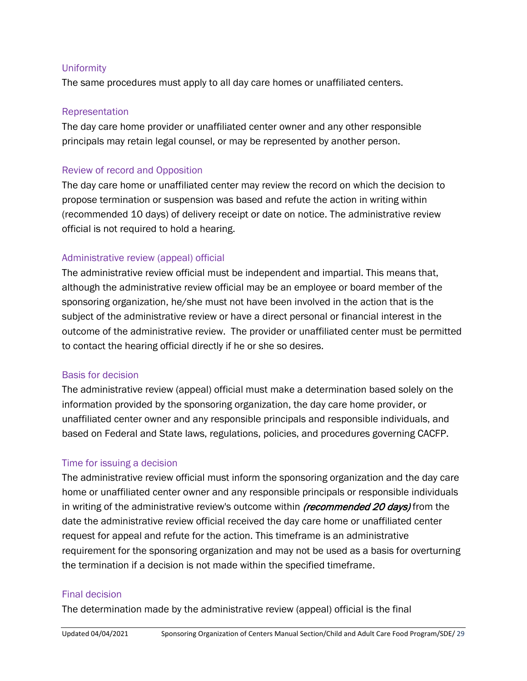#### Uniformity

The same procedures must apply to all day care homes or unaffiliated centers.

#### Representation

The day care home provider or unaffiliated center owner and any other responsible principals may retain legal counsel, or may be represented by another person.

#### Review of record and Opposition

The day care home or unaffiliated center may review the record on which the decision to propose termination or suspension was based and refute the action in writing within (recommended 10 days) of delivery receipt or date on notice. The administrative review official is not required to hold a hearing.

#### Administrative review (appeal) official

The administrative review official must be independent and impartial. This means that, although the administrative review official may be an employee or board member of the sponsoring organization, he/she must not have been involved in the action that is the subject of the administrative review or have a direct personal or financial interest in the outcome of the administrative review. The provider or unaffiliated center must be permitted to contact the hearing official directly if he or she so desires.

#### Basis for decision

The administrative review (appeal) official must make a determination based solely on the information provided by the sponsoring organization, the day care home provider, or unaffiliated center owner and any responsible principals and responsible individuals, and based on Federal and State laws, regulations, policies, and procedures governing CACFP.

#### Time for issuing a decision

The administrative review official must inform the sponsoring organization and the day care home or unaffiliated center owner and any responsible principals or responsible individuals in writing of the administrative review's outcome within *(recommended 20 days)* from the date the administrative review official received the day care home or unaffiliated center request for appeal and refute for the action. This timeframe is an administrative requirement for the sponsoring organization and may not be used as a basis for overturning the termination if a decision is not made within the specified timeframe.

#### Final decision

The determination made by the administrative review (appeal) official is the final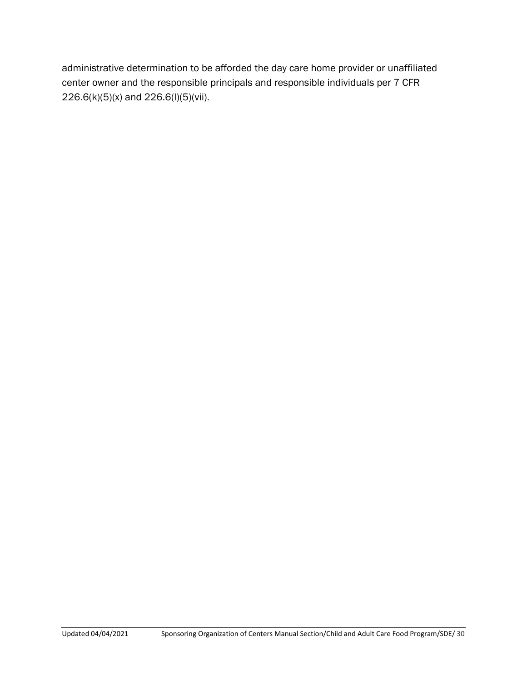administrative determination to be afforded the day care home provider or unaffiliated center owner and the responsible principals and responsible individuals per 7 CFR 226.6(k)(5)(x) and 226.6(l)(5)(vii).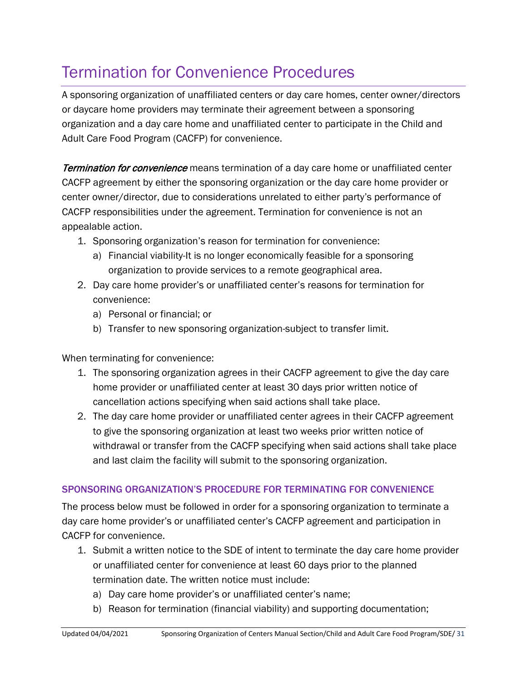## <span id="page-30-0"></span>Termination for Convenience Procedures

A sponsoring organization of unaffiliated centers or day care homes, center owner/directors or daycare home providers may terminate their agreement between a sponsoring organization and a day care home and unaffiliated center to participate in the Child and Adult Care Food Program (CACFP) for convenience.

Termination for convenience means termination of a day care home or unaffiliated center CACFP agreement by either the sponsoring organization or the day care home provider or center owner/director, due to considerations unrelated to either party's performance of CACFP responsibilities under the agreement. Termination for convenience is not an appealable action.

- 1. Sponsoring organization's reason for termination for convenience:
	- a) Financial viability-It is no longer economically feasible for a sponsoring organization to provide services to a remote geographical area.
- 2. Day care home provider's or unaffiliated center's reasons for termination for convenience:
	- a) Personal or financial; or
	- b) Transfer to new sponsoring organization-subject to transfer limit.

When terminating for convenience:

- 1. The sponsoring organization agrees in their CACFP agreement to give the day care home provider or unaffiliated center at least 30 days prior written notice of cancellation actions specifying when said actions shall take place.
- 2. The day care home provider or unaffiliated center agrees in their CACFP agreement to give the sponsoring organization at least two weeks prior written notice of withdrawal or transfer from the CACFP specifying when said actions shall take place and last claim the facility will submit to the sponsoring organization.

#### SPONSORING ORGANIZATION'S PROCEDURE FOR TERMINATING FOR CONVENIENCE

The process below must be followed in order for a sponsoring organization to terminate a day care home provider's or unaffiliated center's CACFP agreement and participation in CACFP for convenience.

- 1. Submit a written notice to the SDE of intent to terminate the day care home provider or unaffiliated center for convenience at least 60 days prior to the planned termination date. The written notice must include:
	- a) Day care home provider's or unaffiliated center's name;
	- b) Reason for termination (financial viability) and supporting documentation;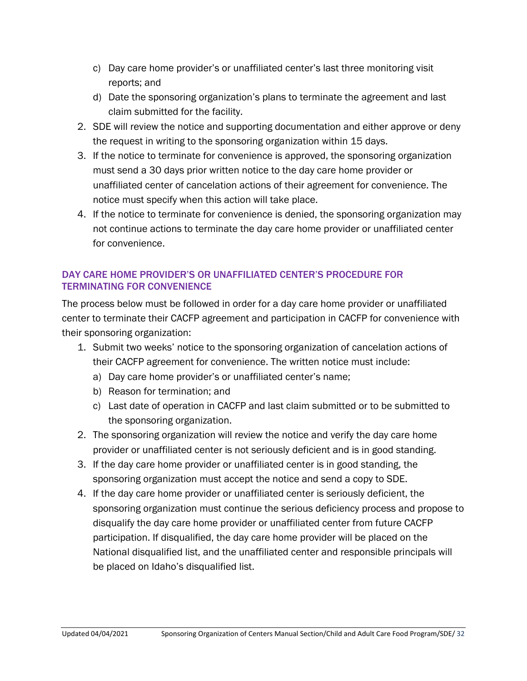- c) Day care home provider's or unaffiliated center's last three monitoring visit reports; and
- d) Date the sponsoring organization's plans to terminate the agreement and last claim submitted for the facility.
- 2. SDE will review the notice and supporting documentation and either approve or deny the request in writing to the sponsoring organization within 15 days.
- 3. If the notice to terminate for convenience is approved, the sponsoring organization must send a 30 days prior written notice to the day care home provider or unaffiliated center of cancelation actions of their agreement for convenience. The notice must specify when this action will take place.
- 4. If the notice to terminate for convenience is denied, the sponsoring organization may not continue actions to terminate the day care home provider or unaffiliated center for convenience.

#### DAY CARE HOME PROVIDER'S OR UNAFFILIATED CENTER'S PROCEDURE FOR TERMINATING FOR CONVENIENCE

The process below must be followed in order for a day care home provider or unaffiliated center to terminate their CACFP agreement and participation in CACFP for convenience with their sponsoring organization:

- 1. Submit two weeks' notice to the sponsoring organization of cancelation actions of their CACFP agreement for convenience. The written notice must include:
	- a) Day care home provider's or unaffiliated center's name;
	- b) Reason for termination; and
	- c) Last date of operation in CACFP and last claim submitted or to be submitted to the sponsoring organization.
- 2. The sponsoring organization will review the notice and verify the day care home provider or unaffiliated center is not seriously deficient and is in good standing.
- 3. If the day care home provider or unaffiliated center is in good standing, the sponsoring organization must accept the notice and send a copy to SDE.
- 4. If the day care home provider or unaffiliated center is seriously deficient, the sponsoring organization must continue the serious deficiency process and propose to disqualify the day care home provider or unaffiliated center from future CACFP participation. If disqualified, the day care home provider will be placed on the National disqualified list, and the unaffiliated center and responsible principals will be placed on Idaho's disqualified list.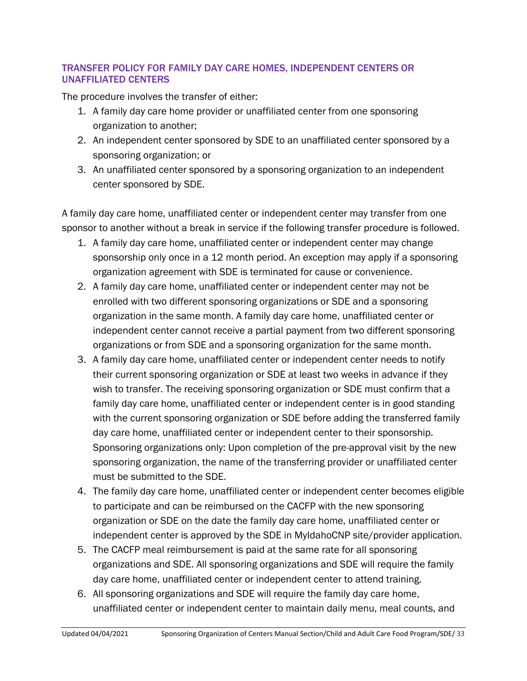#### TRANSFER POLICY FOR FAMILY DAY CARE HOMES, INDEPENDENT CENTERS OR UNAFFILIATED CENTERS

The procedure involves the transfer of either:

- 1. A family day care home provider or unaffiliated center from one sponsoring organization to another;
- 2. An independent center sponsored by SDE to an unaffiliated center sponsored by a sponsoring organization; or
- 3. An unaffiliated center sponsored by a sponsoring organization to an independent center sponsored by SDE.

A family day care home, unaffiliated center or independent center may transfer from one sponsor to another without a break in service if the following transfer procedure is followed.

- 1. A family day care home, unaffiliated center or independent center may change sponsorship only once in a 12 month period. An exception may apply if a sponsoring organization agreement with SDE is terminated for cause or convenience.
- 2. A family day care home, unaffiliated center or independent center may not be enrolled with two different sponsoring organizations or SDE and a sponsoring organization in the same month. A family day care home, unaffiliated center or independent center cannot receive a partial payment from two different sponsoring organizations or from SDE and a sponsoring organization for the same month.
- 3. A family day care home, unaffiliated center or independent center needs to notify their current sponsoring organization or SDE at least two weeks in advance if they wish to transfer. The receiving sponsoring organization or SDE must confirm that a family day care home, unaffiliated center or independent center is in good standing with the current sponsoring organization or SDE before adding the transferred family day care home, unaffiliated center or independent center to their sponsorship. Sponsoring organizations only: Upon completion of the pre-approval visit by the new sponsoring organization, the name of the transferring provider or unaffiliated center must be submitted to the SDE.
- 4. The family day care home, unaffiliated center or independent center becomes eligible to participate and can be reimbursed on the CACFP with the new sponsoring organization or SDE on the date the family day care home, unaffiliated center or independent center is approved by the SDE in MyIdahoCNP site/provider application.
- 5. The CACFP meal reimbursement is paid at the same rate for all sponsoring organizations and SDE. All sponsoring organizations and SDE will require the family day care home, unaffiliated center or independent center to attend training.
- 6. All sponsoring organizations and SDE will require the family day care home, unaffiliated center or independent center to maintain daily menu, meal counts, and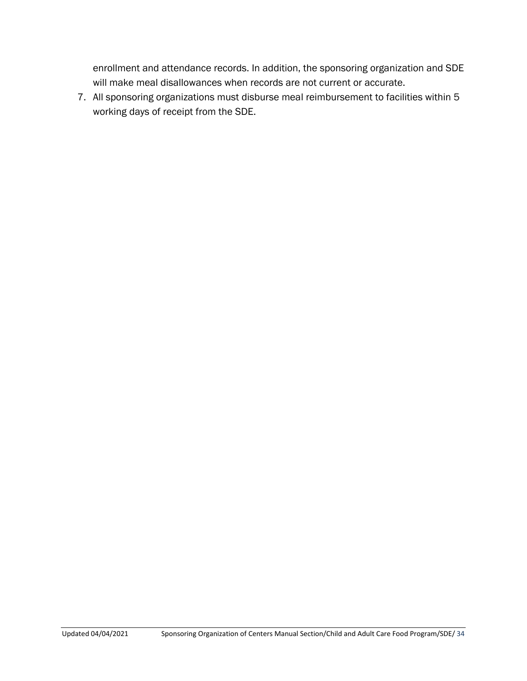enrollment and attendance records. In addition, the sponsoring organization and SDE will make meal disallowances when records are not current or accurate.

7. All sponsoring organizations must disburse meal reimbursement to facilities within 5 working days of receipt from the SDE.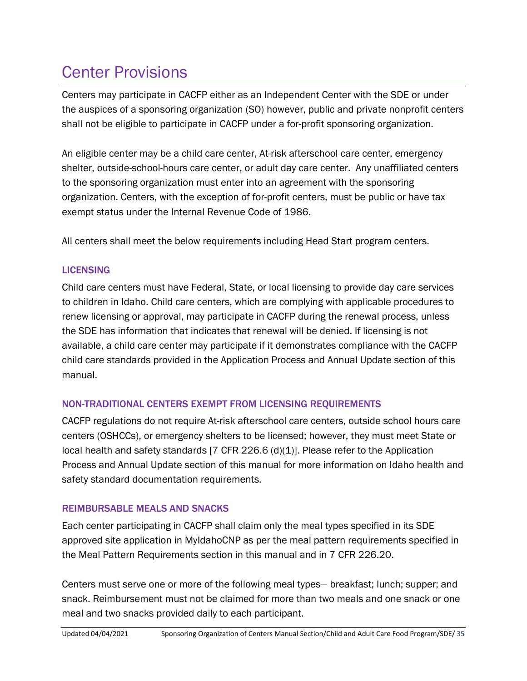## <span id="page-34-0"></span>Center Provisions

Centers may participate in CACFP either as an Independent Center with the SDE or under the auspices of a sponsoring organization (SO) however, public and private nonprofit centers shall not be eligible to participate in CACFP under a for-profit sponsoring organization.

An eligible center may be a child care center, At-risk afterschool care center, emergency shelter, outside-school-hours care center, or adult day care center. Any unaffiliated centers to the sponsoring organization must enter into an agreement with the sponsoring organization. Centers, with the exception of for-profit centers, must be public or have tax exempt status under the Internal Revenue Code of 1986.

All centers shall meet the below requirements including Head Start program centers.

#### **LICENSING**

Child care centers must have Federal, State, or local licensing to provide day care services to children in Idaho. Child care centers, which are complying with applicable procedures to renew licensing or approval, may participate in CACFP during the renewal process, unless the SDE has information that indicates that renewal will be denied. If licensing is not available, a child care center may participate if it demonstrates compliance with the CACFP child care standards provided in the Application Process and Annual Update section of this manual.

#### NON-TRADITIONAL CENTERS EXEMPT FROM LICENSING REQUIREMENTS

CACFP regulations do not require At-risk afterschool care centers, outside school hours care centers (OSHCCs), or emergency shelters to be licensed; however, they must meet State or local health and safety standards [7 CFR 226.6 (d)(1)]. Please refer to the Application Process and Annual Update section of this manual for more information on Idaho health and safety standard documentation requirements.

#### REIMBURSABLE MEALS AND SNACKS

Each center participating in CACFP shall claim only the meal types specified in its SDE approved site application in MyIdahoCNP as per the meal pattern requirements specified in the Meal Pattern Requirements section in this manual and in 7 CFR 226.20.

Centers must serve one or more of the following meal types— breakfast; lunch; supper; and snack. Reimbursement must not be claimed for more than two meals and one snack or one meal and two snacks provided daily to each participant.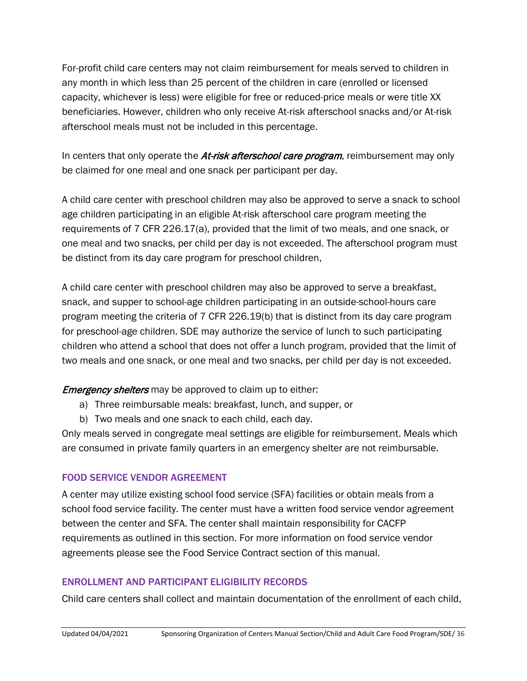For-profit child care centers may not claim reimbursement for meals served to children in any month in which less than 25 percent of the children in care (enrolled or licensed capacity, whichever is less) were eligible for free or reduced-price meals or were title XX beneficiaries. However, children who only receive At-risk afterschool snacks and/or At-risk afterschool meals must not be included in this percentage.

In centers that only operate the At-risk afterschool care program, reimbursement may only be claimed for one meal and one snack per participant per day.

A child care center with preschool children may also be approved to serve a snack to school age children participating in an eligible At-risk afterschool care program meeting the requirements of 7 CFR 226.17(a), provided that the limit of two meals, and one snack, or one meal and two snacks, per child per day is not exceeded. The afterschool program must be distinct from its day care program for preschool children,

A child care center with preschool children may also be approved to serve a breakfast, snack, and supper to school-age children participating in an outside-school-hours care program meeting the criteria of 7 CFR 226.19(b) that is distinct from its day care program for preschool-age children. SDE may authorize the service of lunch to such participating children who attend a school that does not offer a lunch program, provided that the limit of two meals and one snack, or one meal and two snacks, per child per day is not exceeded.

**Emergency shelters** may be approved to claim up to either:

- a) Three reimbursable meals: breakfast, lunch, and supper, or
- b) Two meals and one snack to each child, each day.

Only meals served in congregate meal settings are eligible for reimbursement. Meals which are consumed in private family quarters in an emergency shelter are not reimbursable.

## FOOD SERVICE VENDOR AGREEMENT

A center may utilize existing school food service (SFA) facilities or obtain meals from a school food service facility. The center must have a written food service vendor agreement between the center and SFA. The center shall maintain responsibility for CACFP requirements as outlined in this section. For more information on food service vendor agreements please see the Food Service Contract section of this manual.

## ENROLLMENT AND PARTICIPANT ELIGIBILITY RECORDS

Child care centers shall collect and maintain documentation of the enrollment of each child,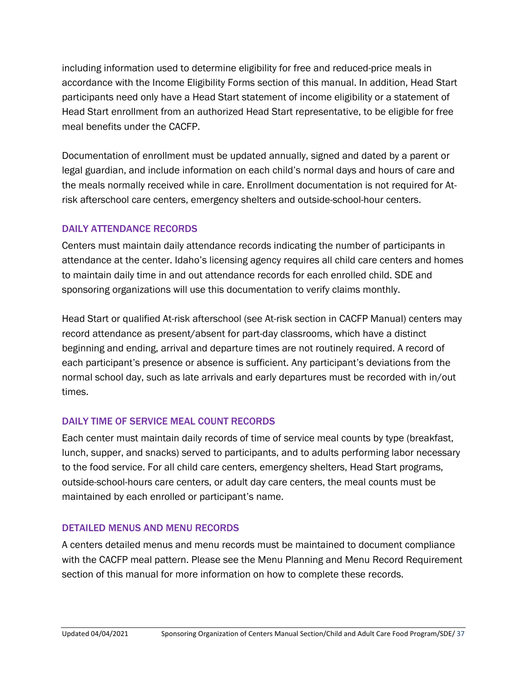including information used to determine eligibility for free and reduced-price meals in accordance with the Income Eligibility Forms section of this manual. In addition, Head Start participants need only have a Head Start statement of income eligibility or a statement of Head Start enrollment from an authorized Head Start representative, to be eligible for free meal benefits under the CACFP.

Documentation of enrollment must be updated annually, signed and dated by a parent or legal guardian, and include information on each child's normal days and hours of care and the meals normally received while in care. Enrollment documentation is not required for Atrisk afterschool care centers, emergency shelters and outside-school-hour centers.

#### DAILY ATTENDANCE RECORDS

Centers must maintain daily attendance records indicating the number of participants in attendance at the center. Idaho's licensing agency requires all child care centers and homes to maintain daily time in and out attendance records for each enrolled child. SDE and sponsoring organizations will use this documentation to verify claims monthly.

Head Start or qualified At-risk afterschool (see At-risk section in CACFP Manual) centers may record attendance as present/absent for part-day classrooms, which have a distinct beginning and ending, arrival and departure times are not routinely required. A record of each participant's presence or absence is sufficient. Any participant's deviations from the normal school day, such as late arrivals and early departures must be recorded with in/out times.

## DAILY TIME OF SERVICE MEAL COUNT RECORDS

Each center must maintain daily records of time of service meal counts by type (breakfast, lunch, supper, and snacks) served to participants, and to adults performing labor necessary to the food service. For all child care centers, emergency shelters, Head Start programs, outside-school-hours care centers, or adult day care centers, the meal counts must be maintained by each enrolled or participant's name.

## DETAILED MENUS AND MENU RECORDS

A centers detailed menus and menu records must be maintained to document compliance with the CACFP meal pattern. Please see the Menu Planning and Menu Record Requirement section of this manual for more information on how to complete these records.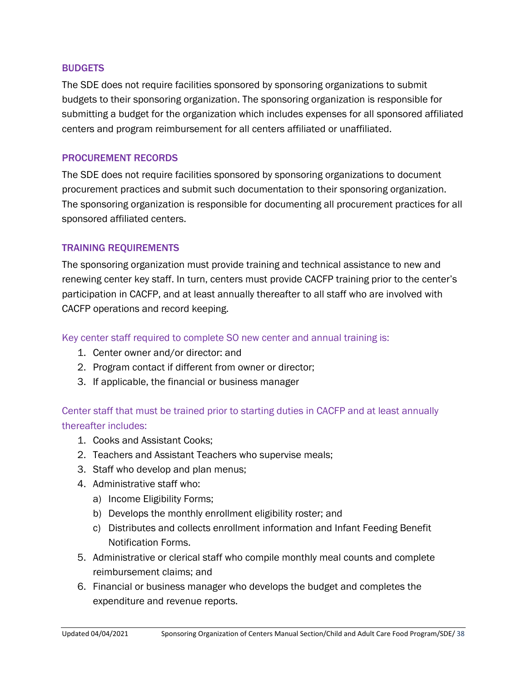#### **BUDGETS**

The SDE does not require facilities sponsored by sponsoring organizations to submit budgets to their sponsoring organization. The sponsoring organization is responsible for submitting a budget for the organization which includes expenses for all sponsored affiliated centers and program reimbursement for all centers affiliated or unaffiliated.

#### PROCUREMENT RECORDS

The SDE does not require facilities sponsored by sponsoring organizations to document procurement practices and submit such documentation to their sponsoring organization. The sponsoring organization is responsible for documenting all procurement practices for all sponsored affiliated centers.

#### TRAINING REQUIREMENTS

The sponsoring organization must provide training and technical assistance to new and renewing center key staff. In turn, centers must provide CACFP training prior to the center's participation in CACFP, and at least annually thereafter to all staff who are involved with CACFP operations and record keeping.

#### Key center staff required to complete SO new center and annual training is:

- 1. Center owner and/or director: and
- 2. Program contact if different from owner or director;
- 3. If applicable, the financial or business manager

#### Center staff that must be trained prior to starting duties in CACFP and at least annually thereafter includes:

- 1. Cooks and Assistant Cooks;
- 2. Teachers and Assistant Teachers who supervise meals;
- 3. Staff who develop and plan menus;
- 4. Administrative staff who:
	- a) Income Eligibility Forms;
	- b) Develops the monthly enrollment eligibility roster; and
	- c) Distributes and collects enrollment information and Infant Feeding Benefit Notification Forms.
- 5. Administrative or clerical staff who compile monthly meal counts and complete reimbursement claims; and
- 6. Financial or business manager who develops the budget and completes the expenditure and revenue reports.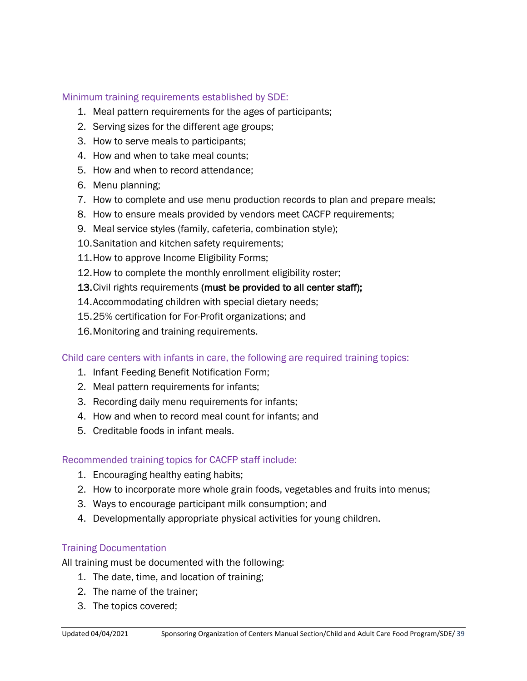#### Minimum training requirements established by SDE:

- 1. Meal pattern requirements for the ages of participants;
- 2. Serving sizes for the different age groups;
- 3. How to serve meals to participants;
- 4. How and when to take meal counts;
- 5. How and when to record attendance;
- 6. Menu planning;
- 7. How to complete and use menu production records to plan and prepare meals;
- 8. How to ensure meals provided by vendors meet CACFP requirements;
- 9. Meal service styles (family, cafeteria, combination style);
- 10.Sanitation and kitchen safety requirements;
- 11.How to approve Income Eligibility Forms;
- 12.How to complete the monthly enrollment eligibility roster;
- 13. Civil rights requirements (must be provided to all center staff);
- 14.Accommodating children with special dietary needs;
- 15.25% certification for For-Profit organizations; and
- 16.Monitoring and training requirements.

Child care centers with infants in care, the following are required training topics:

- 1. Infant Feeding Benefit Notification Form;
- 2. Meal pattern requirements for infants;
- 3. Recording daily menu requirements for infants;
- 4. How and when to record meal count for infants; and
- 5. Creditable foods in infant meals.

#### Recommended training topics for CACFP staff include:

- 1. Encouraging healthy eating habits;
- 2. How to incorporate more whole grain foods, vegetables and fruits into menus;
- 3. Ways to encourage participant milk consumption; and
- 4. Developmentally appropriate physical activities for young children.

#### Training Documentation

All training must be documented with the following:

- 1. The date, time, and location of training;
- 2. The name of the trainer;
- 3. The topics covered;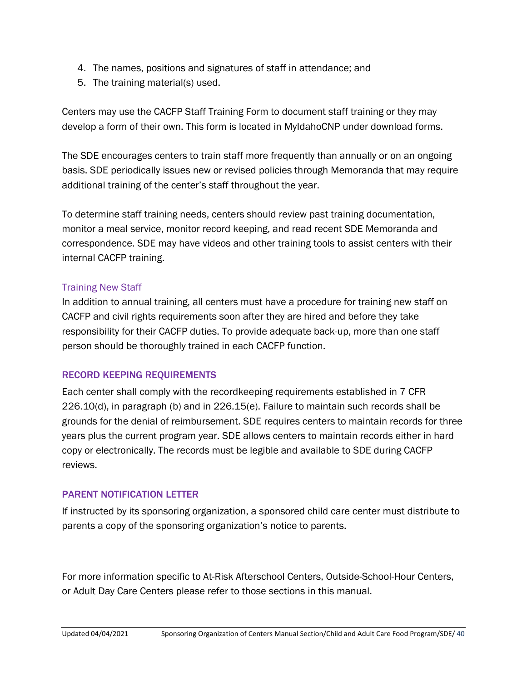- 4. The names, positions and signatures of staff in attendance; and
- 5. The training material(s) used.

Centers may use the CACFP Staff Training Form to document staff training or they may develop a form of their own. This form is located in MyIdahoCNP under download forms.

The SDE encourages centers to train staff more frequently than annually or on an ongoing basis. SDE periodically issues new or revised policies through Memoranda that may require additional training of the center's staff throughout the year.

To determine staff training needs, centers should review past training documentation, monitor a meal service, monitor record keeping, and read recent SDE Memoranda and correspondence. SDE may have videos and other training tools to assist centers with their internal CACFP training.

#### Training New Staff

In addition to annual training, all centers must have a procedure for training new staff on CACFP and civil rights requirements soon after they are hired and before they take responsibility for their CACFP duties. To provide adequate back-up, more than one staff person should be thoroughly trained in each CACFP function.

#### RECORD KEEPING REQUIREMENTS

Each center shall comply with the recordkeeping requirements established in 7 CFR 226.10(d), in paragraph (b) and in 226.15(e). Failure to maintain such records shall be grounds for the denial of reimbursement. SDE requires centers to maintain records for three years plus the current program year. SDE allows centers to maintain records either in hard copy or electronically. The records must be legible and available to SDE during CACFP reviews.

#### PARENT NOTIFICATION LETTER

If instructed by its sponsoring organization, a sponsored child care center must distribute to parents a copy of the sponsoring organization's notice to parents.

For more information specific to At-Risk Afterschool Centers, Outside-School-Hour Centers, or Adult Day Care Centers please refer to those sections in this manual.